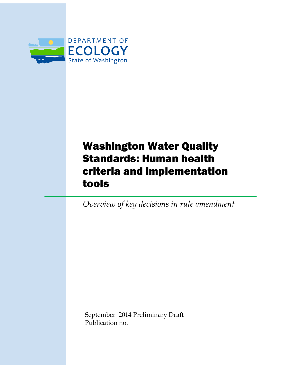

# Washington Water Quality Standards: Human health criteria and implementation tools

*Overview of key decisions in rule amendment*

September 2014 Preliminary Draft Publication no.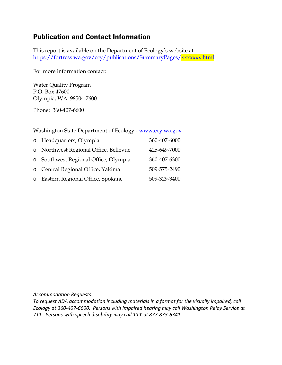# Publication and Contact Information

This report is available on the Department of Ecology's website at <https://fortress.wa.gov/ecy/publications/SummaryPages/xxxxxxx.html>

For more information contact:

Water Quality Program P.O. Box 47600 Olympia, WA 98504-7600

Phone: 360-407-6600

Washington State Department of Ecology - [www.ecy.wa.gov](http://www.ecy.wa.gov/)

| o Headquarters, Olympia               | 360-407-6000 |
|---------------------------------------|--------------|
| o Northwest Regional Office, Bellevue | 425-649-7000 |
| o Southwest Regional Office, Olympia  | 360-407-6300 |
| o Central Regional Office, Yakima     | 509-575-2490 |
| o Eastern Regional Office, Spokane    | 509-329-3400 |

*Accommodation Requests:*

*To request ADA accommodation including materials in a format for the visually impaired, call Ecology at 360-407-6600. Persons with impaired hearing may call Washington Relay Service at 711. Persons with speech disability may call TTY at 877-833-6341.*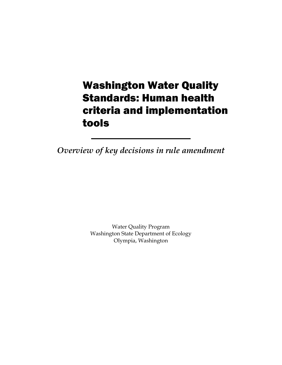# Washington Water Quality Standards: Human health criteria and implementation tools

*Overview of key decisions in rule amendment*

Water Quality Program Washington State Department of Ecology Olympia, Washington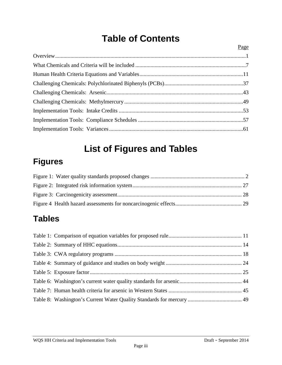# **Table of Contents**

# **List of Figures and Tables**

# **Figures**

# **Tables**

Page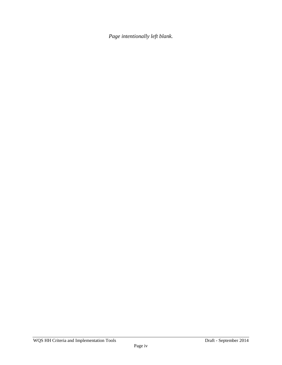*Page intentionally left blank.*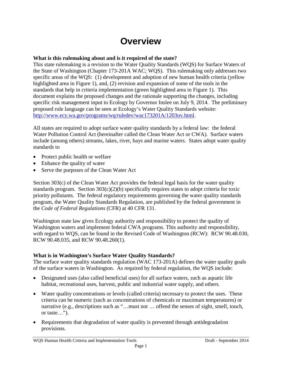# **Overview**

#### <span id="page-6-0"></span>**What is this rulemaking about and is it required of the state?**

This state rulemaking is a revision to the Water Quality Standards (WQS) for Surface Waters of the State of Washington (Chapter 173-201A WAC; WQS). This rulemaking only addresses two specific areas of the WQS: (1) development and adoption of new human health criteria (yellow highlighted area in Figure 1), and, (2) revision and expansion of some of the tools in the standards that help in criteria implementation (green highlighted area in Figure 1). This document explains the proposed changes and the rationale supporting the changes, including specific risk management input to Ecology by Governor Inslee on July 9, 2014. The preliminary proposed rule language can be seen at Ecology's Water Quality Standards website: [http://www.ecy.wa.gov/programs/wq/ruledev/wac173201A/1203ov.html.](http://www.ecy.wa.gov/programs/wq/ruledev/wac173201A/1203ov.html)

All states are required to adopt surface water quality standards by a federal law: the federal Water Pollution Control Act (hereinafter called the Clean Water Act or CWA). Surface waters include (among others) streams, lakes, river, bays and marine waters. States adopt water quality standards to

- Protect public health or welfare
- Enhance the quality of water
- Serve the purposes of the Clean Water Act

Section 303(c) of the Clean Water Act provides the federal legal basis for the water quality standards program. Section 303(c)(2)(b) specifically requires states to adopt criteria for toxic priority pollutants. The federal regulatory requirements governing the water quality standards program, the Water Quality Standards Regulation, are published by the federal government in the *Code of Federal Regulations* (CFR) at 40 CFR 131.

Washington state law gives Ecology authority and responsibility to protect the quality of Washington waters and implement federal CWA programs. This authority and responsibility, with regard to WQS, can be found in the Revised Code of Washington (RCW): RCW 90.48.030, RCW 90.48.035, and RCW 90.48.260(1).

#### **What is in Washington's Surface Water Quality Standards?**

The surface water quality standards regulation (WAC 173-201A) defines the water quality goals of the surface waters in Washington. As required by federal regulation, the WQS include:

- Designated uses (also called beneficial uses) for all surface waters, such as aquatic life habitat, recreational uses, harvest, public and industrial water supply, and others.
- Water quality concentrations or levels (called criteria) necessary to protect the uses. These criteria can be numeric (such as concentrations of chemicals or maximum temperatures) or narrative (e.g., descriptions such as "...must not ... offend the senses of sight, smell, touch, or taste…").
- Requirements that degradation of water quality is prevented through antidegradation provisions.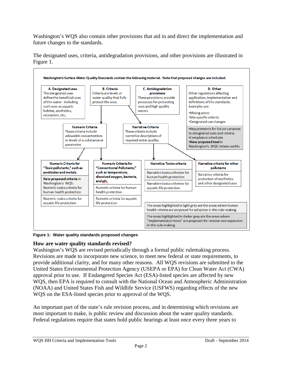Washington's WQS also contain other provisions that aid in and direct the implementation and future changes to the standards.

The designated uses, criteria, antidegradation provisions, and other provisions are illustrated in Figure 1.



<span id="page-7-0"></span>**Figure 1: Water quality standards proposed changes**

## **How are water quality standards revised?**

Washington's WQS are revised periodically through a formal public rulemaking process. Revisions are made to incorporate new science, to meet new federal or state requirements, to provide additional clarity, and for many other reasons. All WQS revisions are submitted to the United States Environmental Protection Agency (USEPA or EPA) for Clean Water Act (CWA) approval prior to use. If Endangered Species Act (ESA)-listed species are affected by new WQS, then EPA is required to consult with the National Ocean and Atmospheric Administration (NOAA) and United States Fish and Wildlife Service (USFWS) regarding effects of the new WQS on the ESA-listed species prior to approval of the WQS.

An important part of the state's rule revision process, and in determining which revisions are most important to make, is public review and discussion about the water quality standards. Federal regulations require that states hold public hearings at least once every three years to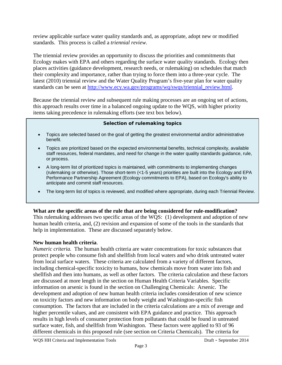review applicable surface water quality standards and, as appropriate, adopt new or modified standards. This process is called a *triennial review*.

The triennial review provides an opportunity to discuss the priorities and commitments that Ecology makes with EPA and others regarding the surface water quality standards. Ecology then places activities (guidance development, research needs, or rulemaking) on schedules that match their complexity and importance, rather than trying to force them into a three-year cycle. The latest (2010) triennial review and the Water Quality Program's five-year plan for water quality standards can be seen at [http://www.ecy.wa.gov/programs/wq/swqs/triennial\\_review.html.](http://www.ecy.wa.gov/programs/wq/swqs/triennial_review.html)

Because the triennial review and subsequent rule making processes are an ongoing set of actions, this approach results over time in a balanced ongoing update to the WQS, with higher priority items taking precedence in rulemaking efforts (see text box below).

### **Selection of rulemaking topics**

- Topics are selected based on the goal of getting the greatest environmental and/or administrative benefit.
- Topics are prioritized based on the expected environmental benefits, technical complexity, available staff resources, federal mandates, and need for change in the water quality standards guidance, rule, or process.
- A long-term list of prioritized topics is maintained, with commitments to implementing changes (rulemaking or otherwise). Those short-term (<1-5 years) priorities are built into the Ecology and EPA Performance Partnership Agreement (Ecology commitments to EPA), based on Ecology's ability to anticipate and commit staff resources.
- The long-term list of topics is reviewed, and modified where appropriate, during each Triennial Review.

### **What are the specific areas of the rule that are being considered for rule-modification?**

This rulemaking addresses two specific areas of the WQS: (1) development and adoption of new human health criteria, and, (2) revision and expansion of some of the tools in the standards that help in implementation. These are discussed separately below.

### **New human health criteria**.

*Numeric criteria.* The human health criteria are water concentrations for toxic substances that protect people who consume fish and shellfish from local waters and who drink untreated water from local surface waters. These criteria are calculated from a variety of different factors, including chemical-specific toxicity to humans, how chemicals move from water into fish and shellfish and then into humans, as well as other factors. The criteria calculation and these factors are discussed at more length in the section on Human Health Criteria Variables. Specific information on arsenic is found in the section on Challenging Chemicals: Arsenic. The development and adoption of new human health criteria includes consideration of new science on toxicity factors and new information on body weight and Washington-specific fish consumption. The factors that are included in the criteria calculations are a mix of average and higher percentile values, and are consistent with EPA guidance and practice. This approach results in high levels of consumer protection from pollutants that could be found in untreated surface water, fish, and shellfish from Washington. These factors were applied to 93 of 96 different chemicals in this proposed rule (see section on Criteria Chemicals). The criteria for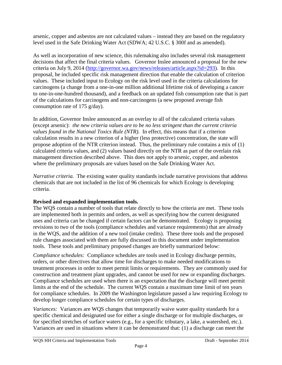arsenic, copper and asbestos are not calculated values – instead they are based on the regulatory level used in the Safe Drinking Water Act (SDWA; 42 U.S.C. § 300f and as amended).

As well as incorporation of new science, this rulemaking also includes several risk management decisions that affect the final criteria values. Governor Inslee announced a proposal for the new criteria on July 9, 2014 [\(http://governor.wa.gov/news/releases/article.aspx?id=293\)](http://governor.wa.gov/news/releases/article.aspx?id=293). In this proposal, he included specific risk management direction that enable the calculation of criterion values. These included input to Ecology on the risk level used in the criteria calculations for carcinogens (a change from a one-in-one million additional lifetime risk of developing a cancer to one-in-one-hundred thousand), and a feedback on an updated fish consumption rate that is part of the calculations for carcinogens and non-carcinogens (a new proposed average fish consumption rate of 175 g/day).

In addition, Governor Inslee announced as an overlay to all of the calculated criteria values (except arsenic): *the new criteria values are to be no less stringent than the current criteria values found in the National Toxics Rule (NTR)*. In effect, this means that if a criterion calculation results in a new criterion of a higher (less protective) concentration, the state will propose adoption of the NTR criterion instead. Thus, the preliminary rule contains a mix of (1) calculated criteria values, and (2) values based directly on the NTR as part of the overlain risk management direction described above. This does not apply to arsenic, copper, and asbestos where the preliminary proposals are values based on the Safe Drinking Water Act.

*Narrative criteria.* The existing water quality standards include narrative provisions that address chemicals that are not included in the list of 96 chemicals for which Ecology is developing criteria.

## **Revised and expanded implementation tools.**

The WQS contain a number of tools that relate directly to how the criteria are met. These tools are implemented both in permits and orders, as well as specifying how the current designated uses and criteria can be changed if certain factors can be demonstrated. Ecology is proposing revisions to two of the tools (compliance schedules and variance requirements) that are already in the WQS, and the addition of a new tool (intake credits). These three tools and the proposed rule changes associated with them are fully discussed in this document under implementation tools. These tools and preliminary proposed changes are briefly summarized below:

*Compliance schedules:* Compliance schedules are tools used in Ecology discharge permits, orders, or other directives that allow time for discharges to make needed modifications to treatment processes in order to meet permit limits or requirements. They are commonly used for construction and treatment plant upgrades, and cannot be used for new or expanding discharges. Compliance schedules are used when there is an expectation that the discharge will meet permit limits at the end of the schedule. The current WQS contain a maximum time limit of ten years for compliance schedules. In 2009 the Washington legislature passed a law requiring Ecology to develop longer compliance schedules for certain types of discharges.

*Variances:* Variances are WQS changes that temporarily waive water quality standards for a specific chemical and designated use for either a single discharge or for multiple discharges, or for specified stretches of surface waters (e.g., for a specific tributary, a lake, a watershed, etc.). Variances are used in situations where it can be demonstrated that: (1) a discharge can meet the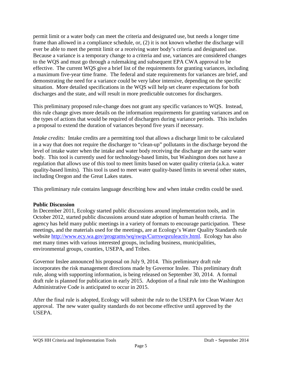permit limit or a water body can meet the criteria and designated use, but needs a longer time frame than allowed in a compliance schedule, or, (2) it is not known whether the discharge will ever be able to meet the permit limit or a receiving water body's criteria and designated use. Because a variance is a temporary change to a criteria and use, variances are considered changes to the WQS and must go through a rulemaking and subsequent EPA CWA approval to be effective. The current WQS give a brief list of the requirements for granting variances, including a maximum five-year time frame. The federal and state requirements for variances are brief, and demonstrating the need for a variance could be very labor intensive, depending on the specific situation. More detailed specifications in the WQS will help set clearer expectations for both discharges and the state, and will result in more predictable outcomes for dischargers.

This preliminary proposed rule-change does not grant any specific variances to WQS. Instead, this rule change gives more details on the information requirements for granting variances and on the types of actions that would be required of dischargers during variance periods. This includes a proposal to extend the duration of variances beyond five years if necessary.

*Intake credits:* Intake credits are a permitting tool that allows a discharge limit to be calculated in a way that does not require the discharger to "clean-up" pollutants in the discharge beyond the level of intake water when the intake and water body receiving the discharge are the same water body. This tool is currently used for technology-based limits, but Washington does not have a regulation that allows use of this tool to meet limits based on water quality criteria (a.k.a. water quality-based limits). This tool is used to meet water quality-based limits in several other states, including Oregon and the Great Lakes states.

This preliminary rule contains language describing how and when intake credits could be used.

## **Public Discussion**

In December 2011, Ecology started public discussions around implementation tools, and in October 2012, started public discussions around state adoption of human health criteria. The agency has held many public meetings in a variety of formats to encourage participation. These meetings, and the materials used for the meetings, are at Ecology's Water Quality Standards rule website [http://www.ecy.wa.gov/programs/wq/swqs/Currswqsruleactiv.html.](http://www.ecy.wa.gov/programs/wq/swqs/Currswqsruleactiv.html) Ecology has also met many times with various interested groups, including business, municipalities, environmental groups, counties, USEPA, and Tribes.

Governor Inslee announced his proposal on July 9, 2014. This preliminary draft rule incorporates the risk management directions made by Governor Inslee. This preliminary draft rule, along with supporting information, is being released on September 30, 2014. A formal draft rule is planned for publication in early 2015. Adoption of a final rule into the Washington Administrative Code is anticipated to occur in 2015.

After the final rule is adopted, Ecology will submit the rule to the USEPA for Clean Water Act approval. The new water quality standards do not become effective until approved by the USEPA.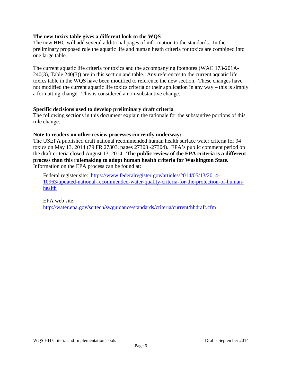#### **The new toxics table gives a different look to the WQS**

The new HHC will add several additional pages of information to the standards. In the preliminary proposed rule the aquatic life and human heath criteria for toxics are combined into one large table.

The current aquatic life criteria for toxics and the accompanying footnotes (WAC 173-201A-240(3), Table 240(3)) are in this section and table. Any references to the current aquatic life toxics table in the WQS have been modified to reference the new section. These changes have not modified the current aquatic life toxics criteria or their application in any way – this is simply a formatting change. This is considered a non-substantive change.

#### **Specific decisions used to develop preliminary draft criteria**

The following sections in this document explain the rationale for the substantive portions of this rule change.

#### **Note to readers on other review processes currently underway:**

The USEPA published draft national recommended human health surface water criteria for 94 toxics on May 13, 2014 (79 FR 27303, pages 27303 -27304). EPA's public comment period on the draft criteria closed August 13, 2014. **The public review of the EPA criteria is a different process than this rulemaking to adopt human health criteria for Washington State.** Information on the EPA process can be found at:

Federal register site: [https://www.federalregister.gov/articles/2014/05/13/2014-](https://www.federalregister.gov/articles/2014/05/13/2014-10963/updated-national-recommended-water-quality-criteria-for-the-protection-of-human-health) [10963/updated-national-recommended-water-quality-criteria-for-the-protection-of-human](https://www.federalregister.gov/articles/2014/05/13/2014-10963/updated-national-recommended-water-quality-criteria-for-the-protection-of-human-health)[health](https://www.federalregister.gov/articles/2014/05/13/2014-10963/updated-national-recommended-water-quality-criteria-for-the-protection-of-human-health)

EPA web site: <http://water.epa.gov/scitech/swguidance/standards/criteria/current/hhdraft.cfm>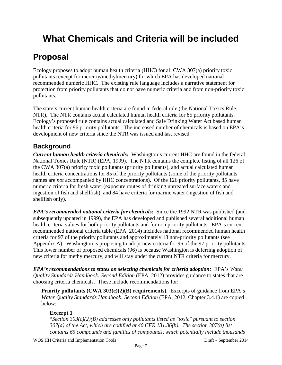# <span id="page-12-0"></span>**What Chemicals and Criteria will be included**

# **Proposal**

Ecology proposes to adopt human health criteria (HHC) for all CWA 307(a) priority toxic pollutants (except for mercury/methylmercury) for which EPA has developed national recommended numeric HHC. The existing rule language includes a narrative statement for protection from priority pollutants that do not have numeric criteria and from non-priority toxic pollutants.

The state's current human health criteria are found in federal rule (the National Toxics Rule; NTR). The NTR contains actual calculated human health criteria for 85 priority pollutants. Ecology's proposed rule contains actual calculated and Safe Drinking Water Act based human health criteria for 96 priority pollutants. The increased number of chemicals is based on EPA's development of new criteria since the NTR was issued and last revised.

# **Background**

*Current human health criteria chemicals:* Washington's current HHC are found in the federal National Toxics Rule (NTR) (EPA, 1999). The NTR contains the complete listing of all 126 of the CWA 307(a) priority toxic pollutants (priority pollutants), and actual calculated human health criteria concentrations for 85 of the priority pollutants (some of the priority pollutants names are *not* accompanied by HHC concentrations). Of the 126 priority pollutants, 85 have numeric criteria for fresh water (exposure routes of drinking untreated surface waters and ingestion of fish and shellfish), and 84 have criteria for marine water (ingestion of fish and shellfish only).

*EPA's recommended national criteria for chemicals:* Since the 1992 NTR was published (and subsequently updated in 1999), the EPA has developed and published several additional human health criteria values for both priority pollutants and for non priority pollutants. EPA's current recommended national criteria table (EPA, 2014) includes national recommended human health criteria for 97 of the priority pollutants and approximately 18 non-priority pollutants (see Appendix A). Washington is proposing to adopt new criteria for 96 of the 97 priority pollutants. This lower number of proposed chemicals (96) is because Washington is deferring adoption of new criteria for methylmercury, and will stay under the current NTR criteria for mercury.

*EPA's recommendations to states on selecting chemicals for criteria adoption:* EPA's *Water Quality Standards Handbook: Second Edition* (EPA, 2012) provides guidance to states that are choosing criteria chemicals. These include recommendations for:

**Priority pollutants (CWA 303(c)(2)(B) requirements).** Excerpts of guidance from EPA's *Water Quality Standards Handbook: Second Edition* (EPA, 2012, Chapter 3.4.1) are copied below:

## **Excerpt 1**

"*Section 303(c)(2)(B) addresses only pollutants listed as "toxic" pursuant to section 307(a) of the Act, which are codified at 40 CFR 131.36(b). The section 307(a) list contains 65 compounds and families of compounds, which potentially include thousands*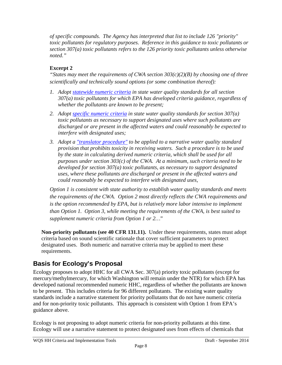*of specific compounds. The Agency has interpreted that list to include 126 "priority" toxic pollutants for regulatory purposes. Reference in this guidance to toxic pollutants or section 307(a) toxic pollutants refers to the 126 priority toxic pollutants unless otherwise noted."* 

## **Excerpt 2**

*"States may meet the requirements of CWA section 303(c)(2)(B) by choosing one of three scientifically and technically sound options (or some combination thereof):*

- *1. Adopt [statewide numeric criteria](http://water.epa.gov/scitech/swguidance/standards/handbook/chapter03.cfm#option1) in state water quality standards for all section 307(a) toxic pollutants for which EPA has developed criteria guidance, regardless of whether the pollutants are known to be present;*
- *2. Adopt [specific numeric criteria](http://water.epa.gov/scitech/swguidance/standards/handbook/chapter03.cfm#option2) in state water quality standards for section 307(a) toxic pollutants as necessary to support designated uses where such pollutants are discharged or are present in the affected waters and could reasonably be expected to interfere with designated uses;*
- *3. Adopt a ["translator procedure"](http://water.epa.gov/scitech/swguidance/standards/handbook/chapter03.cfm#option3) to be applied to a narrative water quality standard provision that prohibits toxicity in receiving waters. Such a procedure is to be used by the state in calculating derived numeric criteria, which shall be used for all purposes under section 303(c) of the CWA. At a minimum, such criteria need to be developed for section 307(a) toxic pollutants, as necessary to support designated uses, where these pollutants are discharged or present in the affected waters and could reasonably be expected to interfere with designated uses,*

*Option 1 is consistent with state authority to establish water quality standards and meets the requirements of the CWA. Option 2 most directly reflects the CWA requirements and is the option recommended by EPA, but is relatively more labor intensive to implement than Option 1. Option 3, while meeting the requirements of the CWA, is best suited to supplement numeric criteria from Option 1 or 2…*"

**Non-priority pollutants (see 40 CFR 131.11).** Under these requirements, states must adopt criteria based on sound scientific rationale that cover sufficient parameters to protect designated uses. Both numeric and narrative criteria may be applied to meet these requirements.

# **Basis for Ecology's Proposal**

Ecology proposes to adopt HHC for all CWA Sec. 307(a) priority toxic pollutants (except for mercury/methylmercury, for which Washington will remain under the NTR) for which EPA has developed national recommended numeric HHC, regardless of whether the pollutants are known to be present. This includes criteria for 96 different pollutants. The existing water quality standards include a narrative statement for priority pollutants that do not have numeric criteria and for non-priority toxic pollutants. This approach is consistent with Option 1 from EPA's guidance above.

Ecology is not proposing to adopt numeric criteria for non-priority pollutants at this time. Ecology will use a narrative statement to protect designated uses from effects of chemicals that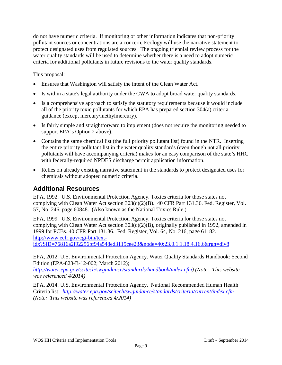do not have numeric criteria. If monitoring or other information indicates that non-priority pollutant sources or concentrations are a concern, Ecology will use the narrative statement to protect designated uses from regulated sources. The ongoing triennial review process for the water quality standards will be used to determine whether there is a need to adopt numeric criteria for additional pollutants in future revisions to the water quality standards.

This proposal:

- Ensures that Washington will satisfy the intent of the Clean Water Act.
- Is within a state's legal authority under the CWA to adopt broad water quality standards.
- Is a comprehensive approach to satisfy the statutory requirements because it would include all of the priority toxic pollutants for which EPA has prepared section 304(a) criteria guidance (except mercury/methylmercury).
- Is fairly simple and straightforward to implement (does not require the monitoring needed to support EPA's Option 2 above).
- Contains the same chemical list (the full priority pollutant list) found in the NTR. Inserting the entire priority pollutant list in the water quality standards (even though not all priority pollutants will have accompanying criteria) makes for an easy comparison of the state's HHC with federally-required NPDES discharge permit application information.
- Relies on already existing narrative statement in the standards to protect designated uses for chemicals without adopted numeric criteria.

# **Additional Resources**

EPA, 1992. U.S. Environmental Protection Agency. Toxics criteria for those states not complying with Clean Water Act section 303(c)(2)(B). 40 CFR Part 131.36. Fed. Register, Vol. 57, No. 246, page 60848. (Also known as the National Toxics Rule.)

EPA, 1999. U.S. Environmental Protection Agency. Toxics criteria for those states not complying with Clean Water Act section 303(c)(2)(B), originally published in 1992, amended in 1999 for PCBs. 40 CFR Part 131.36. Fed. Register, Vol. 64, No. 216, page 61182. [http://www.ecfr.gov/cgi-bin/text-](http://www.ecfr.gov/cgi-bin/text-idx?SID=76816a2f92256bf94a548ed3115cee23&node=40:23.0.1.1.18.4.16.6&rgn=div8)

[idx?SID=76816a2f92256bf94a548ed3115cee23&node=40:23.0.1.1.18.4.16.6&rgn=div8](http://www.ecfr.gov/cgi-bin/text-idx?SID=76816a2f92256bf94a548ed3115cee23&node=40:23.0.1.1.18.4.16.6&rgn=div8)

EPA, 2012. U.S. Environmental Protection Agency. Water Quality Standards Handbook: Second Edition (EPA-823-B-12-002; March 2012);

*[http://water.epa.gov/scitech/swguidance/standards/handbook/index.cfm\)](http://water.epa.gov/scitech/swguidance/standards/handbook/index.cfm) (Note: This website was referenced 4/2014)*

EPA, 2014. U.S. Environmental Protection Agency. National Recommended Human Health Criteria list: *<http://water.epa.gov/scitech/swguidance/standards/criteria/current/index.cfm> (Note: This website was referenced 4/2014)*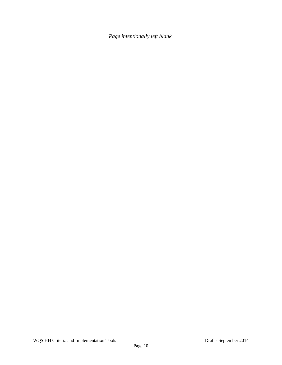*Page intentionally left blank.*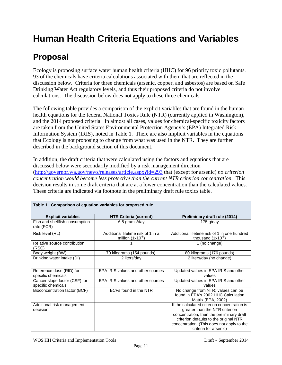# <span id="page-16-0"></span>**Human Health Criteria Equations and Variables**

# **Proposal**

Ecology is proposing surface water human health criteria (HHC) for 96 priority toxic pollutants. 93 of the chemicals have criteria calculations associated with them that are reflected in the discussion below. Criteria for three chemicals (arsenic, copper, and asbestos) are based on Safe Drinking Water Act regulatory levels, and thus their proposed criteria do not involve calculations. The discussion below does not apply to these three chemicals

The following table provides a comparison of the explicit variables that are found in the human health equations for the federal National Toxics Rule (NTR) (currently applied in Washington), and the 2014 proposed criteria. In almost all cases, values for chemical-specific toxicity factors are taken from the United States Environmental Protection Agency's (EPA) Integrated Risk Information System (IRIS), noted in Table 1. There are also implicit variables in the equations that Ecology is not proposing to change from what was used in the NTR. They are further described in the background section of this document.

In addition, the draft criteria that were calculated using the factors and equations that are discussed below were secondarily modified by a risk management direction [\(http://governor.wa.gov/news/releases/article.aspx?id=293](http://governor.wa.gov/news/releases/article.aspx?id=293) that (except for arsenic) *no criterion concentration would become less protective than the current NTR criterion concentration.* This decision results in some draft criteria that are at a lower concentration than the calculated values. These criteria are indicated via footnote in the preliminary draft rule toxics table.

<span id="page-16-1"></span>

| Table 1: Comparison of equation variables for proposed rule |                                                             |                                                                                                                                                                                                                                              |  |
|-------------------------------------------------------------|-------------------------------------------------------------|----------------------------------------------------------------------------------------------------------------------------------------------------------------------------------------------------------------------------------------------|--|
| <b>Explicit variables</b>                                   | <b>NTR Criteria (current)</b>                               | Preliminary draft rule (2014)                                                                                                                                                                                                                |  |
| Fish and shellfish consumption<br>rate (FCR)                | 6.5 grams/day                                               | 175 g/day                                                                                                                                                                                                                                    |  |
| Risk level (RL)                                             | Additional lifetime risk of 1 in a<br>million $(1x10^{-6})$ | Additional lifetime risk of 1 in one hundred<br>thousand $(1x10^{-5})$                                                                                                                                                                       |  |
| Relative source contribution<br>(RSC)                       |                                                             | 1 (no change)                                                                                                                                                                                                                                |  |
| Body weight (BW)                                            | 70 kilograms (154 pounds).                                  | 80 kilograms (176 pounds)                                                                                                                                                                                                                    |  |
| Drinking water intake (DI)                                  | 2 liters/day                                                | 2 liters/day (no change)                                                                                                                                                                                                                     |  |
| Reference dose (RfD) for<br>specific chemicals              | EPA IRIS values and other sources                           | Updated values in EPA IRIS and other<br>values                                                                                                                                                                                               |  |
| Cancer slope factor (CSF) for<br>specific chemicals         | EPA IRIS values and other sources                           | Updated values in EPA IRIS and other<br>values                                                                                                                                                                                               |  |
| Bioconcentration factor (BCF)                               | BCFs found in the NTR                                       | No change from NTR; values can be<br>found in EPA's 2002 HHC Calculation<br>Matrix (EPA, 2002)                                                                                                                                               |  |
| Additional risk management<br>decision                      |                                                             | If the calculated criterion concentration is<br>greater than the NTR criterion<br>concentration, then the preliminary draft<br>criterion defaults to the original NTR<br>concentration. (This does not apply to the<br>criteria for arsenic) |  |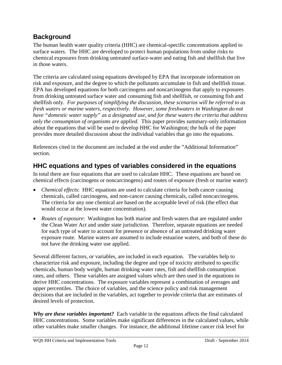## **Background**

The human health water quality criteria (HHC) are chemical-specific concentrations applied to surface waters. The HHC are developed to protect human populations from undue risks to chemical exposures from drinking untreated surface-water and eating fish and shellfish that live in those waters.

The criteria are calculated using equations developed by EPA that incorporate information on risk and exposure, and the degree to which the pollutants accumulate in fish and shellfish tissue. EPA has developed equations for both carcinogens and noncarcinogens that apply to exposures from drinking untreated surface water and consuming fish and shellfish, or consuming fish and shellfish only. *For purposes of simplifying the discussion, these scenarios will be referred to as fresh waters or marine waters, respectively. However, some freshwaters in Washington do not have "domestic water supply" as a designated use, and for these waters the criteria that address only the consumption of organisms are applied.* This paper provides summary-only information about the equations that will be used to develop HHC for Washington; the bulk of the paper provides more detailed discussion about the individual variables that go into the equations.

References cited in the document are included at the end under the "Additional Information" section.

## **HHC equations and types of variables considered in the equations**

In total there are four equations that are used to calculate HHC. These equations are based on chemical effects (carcinogens or noncarcinogens) and routes of exposure (fresh or marine water):

- *Chemical effects*: HHC equations are used to calculate criteria for both cancer causing chemicals, called carcinogens, and non-cancer causing chemicals, called noncarcinogens. The criteria for any one chemical are based on the acceptable level of risk (the effect that would occur at the lowest water concentration).
- *Routes of exposure*: Washington has both marine and fresh waters that are regulated under the Clean Water Act and under state jurisdiction. Therefore, separate equations are needed for each type of water to account for presence or absence of an untreated drinking water exposure route. Marine waters are assumed to include estuarine waters, and both of these do not have the drinking water use applied.

Several different factors, or variables, are included in each equation. The variables help to characterize risk and exposure, including the degree and type of toxicity attributed to specific chemicals, human body weight, human drinking water rates, fish and shellfish consumption rates, and others. These variables are assigned values which are then used in the equations to derive HHC concentrations. The exposure variables represent a combination of averages and upper percentiles. The choice of variables, and the science policy and risk management decisions that are included in the variables, act together to provide criteria that are estimates of desired levels of protection.

*Why are these variables important?* Each variable in the equations affects the final calculated HHC concentrations. Some variables make significant differences in the calculated values, while other variables make smaller changes. For instance, the additional lifetime cancer risk level for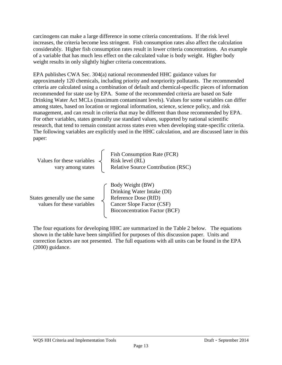carcinogens can make a large difference in some criteria concentrations. If the risk level increases, the criteria become less stringent. Fish consumption rates also affect the calculation considerably. Higher fish consumption rates result in lower criteria concentrations. An example of a variable that has much less effect on the calculated value is body weight. Higher body weight results in only slightly higher criteria concentrations.

EPA publishes CWA Sec. 304(a) national recommended HHC guidance values for approximately 120 chemicals, including priority and nonpriority pollutants. The recommended criteria are calculated using a combination of default and chemical-specific pieces of information recommended for state use by EPA. Some of the recommended criteria are based on Safe Drinking Water Act MCLs (maximum contaminant levels). Values for some variables can differ among states, based on location or regional information, science, science policy, and risk management, and can result in criteria that may be different than those recommended by EPA. For other variables, states generally use standard values, supported by national scientific research, that tend to remain constant across states even when developing state-specific criteria. The following variables are explicitly used in the HHC calculation, and are discussed later in this paper:

| Values for these variables $\prec$<br>vary among states | <b>Fish Consumption Rate (FCR)</b><br>Risk level (RL)<br><b>Relative Source Contribution (RSC)</b> |
|---------------------------------------------------------|----------------------------------------------------------------------------------------------------|
|---------------------------------------------------------|----------------------------------------------------------------------------------------------------|

States generally use the same values for these variables

Body Weight (BW) Drinking Water Intake (DI) Reference Dose (RfD) Cancer Slope Factor (CSF) Bioconcentration Factor (BCF)

The four equations for developing HHC are summarized in the Table 2 below. The equations shown in the table have been simplified for purposes of this discussion paper. Units and correction factors are not presented. The full equations with all units can be found in the EPA (2000) guidance.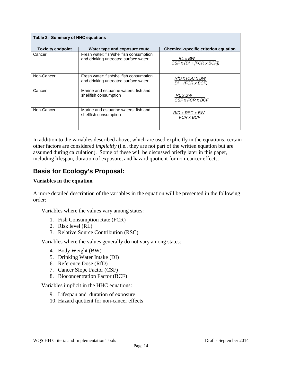<span id="page-19-0"></span>

| Table 2: Summary of HHC equations |                                                                                 |                                             |  |
|-----------------------------------|---------------------------------------------------------------------------------|---------------------------------------------|--|
| <b>Toxicity endpoint</b>          | Water type and exposure route                                                   | <b>Chemical-specific criterion equation</b> |  |
| Cancer                            | Fresh water: fish/shellfish consumption<br>and drinking untreated surface water | RL x BW<br>$CSFx(DI + [FCR \times BCF])$    |  |
| Non-Cancer                        | Fresh water: fish/shellfish consumption<br>and drinking untreated surface water | RfD x RSC x BW<br>$DI + (FCR \times BCF)$   |  |
| Cancer                            | Marine and estuarine waters: fish and<br>shellfish consumption                  | RL x BW<br>CSF x FCR x BCF                  |  |
| Non-Cancer                        | Marine and estuarine waters: fish and<br>shellfish consumption                  | RfD x RSC x BW<br>FCR x BCF                 |  |

In addition to the variables described above, which are used explicitly in the equations, certain other factors are considered *implicitly* (i.e., they are not part of the written equation but are assumed during calculation). Some of these will be discussed briefly later in this paper, including lifespan, duration of exposure, and hazard quotient for non-cancer effects.

# **Basis for Ecology's Proposal:**

### **Variables in the equation**

A more detailed description of the variables in the equation will be presented in the following order:

Variables where the values vary among states:

- 1. Fish Consumption Rate (FCR)
- 2. Risk level (RL)
- 3. Relative Source Contribution (RSC)

Variables where the values generally do not vary among states:

- 4. Body Weight (BW)
- 5. Drinking Water Intake (DI)
- 6. Reference Dose (RfD)
- 7. Cancer Slope Factor (CSF)
- 8. Bioconcentration Factor (BCF)

Variables implicit in the HHC equations:

- 9. Lifespan and duration of exposure
- 10. Hazard quotient for non-cancer effects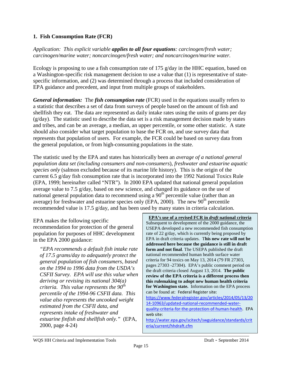### **1. Fish Consumption Rate (FCR)**

*Application: This explicit variable applies to all four equations: carcinogen/fresh water; carcinogen/marine water; noncarcinogen/fresh water; and noncarcinogen/marine water.*

Ecology is proposing to use a fish consumption rate of 175 g/day in the HHC equation, based on a Washington-specific risk management decision to use a value that (1) is representative of statespecific information, and (2) was determined through a process that included consideration of EPA guidance and precedent, and input from multiple groups of stakeholders.

*General information:* The *fish consumption rate* (FCR) used in the equations usually refers to a statistic that describes a set of data from surveys of people based on the amount of fish and shellfish they eat. The data are represented as daily intake rates using the units of grams per day (g/day). The statistic used to describe the data set is a risk management decision made by states and tribes, and can be an average, a median, an upper percentile, or some other statistic. A state should also consider what target population to base the FCR on, and use survey data that represents that population of users. For example, the FCR could be based on survey data from the general population, or from high-consuming populations in the state.

The statistic used by the EPA and states has historically been an *average of a national general population data set (including consumers and non-consumers*), *freshwater and estuarine aquatic species only* (salmon excluded because of its marine life history). This is the origin of the current 6.5 g/day fish consumption rate that is incorporated into the 1992 National Toxics Rule (EPA, 1999; hereinafter called "NTR"). In 2000 EPA updated that national general population average value to 7.5 g/day, based on new science, and changed its guidance on the use of national general population data to recommend using a  $90<sup>th</sup>$  percentile value (rather than an average) for freshwater and estuarine species only (EPA, 2000). The new  $90<sup>th</sup>$  percentile recommended value is 17.5 g/day, and has been used by many states in criteria calculation.

EPA makes the following specific recommendation for protection of the general population for purposes of HHC development in the EPA 2000 guidance:

*"EPA recommends a default fish intake rate of 17.5 grams/day to adequately protect the general population of fish consumers, based on the 1994 to 1996 data from the USDA's CSFII Survey. EPA will use this value when deriving or revising its national 304(a) criteria. This value represents the 90*th *percentile of the 1994-96 CSFII data. This value also represents the uncooked weight estimated from the CSFII data, and represents intake of freshwater and estuarine finfish and shellfish only."* (EPA, 2000, page 4-24)

**EPA's use of a revised FCR in** *draft* **national criteria** Subsequent to development of the 2000 guidance, the USEPA developed a new recommended fish consumption rate of 22 g/day, which is currently being proposed by EPA in draft criteria updates. T**his new rate will not be addressed here because the guidance is still in draft form and not final**. The USEPA published the draft national recommended human health surface water criteria for 94 toxics on May 13, 2014 (79 FR 27303, pages 27303 -27304). EPA's public comment period on the draft criteria closed August 13, 2014. **The public review of the EPA criteria is a different process then this rulemaking to adopt new human health criteria for Washington state.** Information on the EPA process can be found at: Federal Register site: [https://www.federalregister.gov/articles/2014/05/13/20](https://www.federalregister.gov/articles/2014/05/13/2014-10963/updated-national-recommended-water-quality-criteria-for-the-protection-of-human-health) [14-10963/updated-national-recommended-water](https://www.federalregister.gov/articles/2014/05/13/2014-10963/updated-national-recommended-water-quality-criteria-for-the-protection-of-human-health)[quality-criteria-for-the-protection-of-human-health](https://www.federalregister.gov/articles/2014/05/13/2014-10963/updated-national-recommended-water-quality-criteria-for-the-protection-of-human-health). EPA web site: [http://water.epa.gov/scitech/swguidance/standards/crit](http://water.epa.gov/scitech/swguidance/standards/criteria/current/hhdraft.cfm) [eria/current/hhdraft.cfm](http://water.epa.gov/scitech/swguidance/standards/criteria/current/hhdraft.cfm)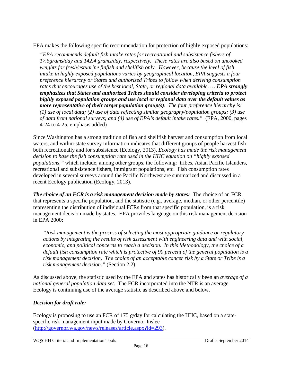EPA makes the following specific recommendation for protection of highly exposed populations:

*"EPA recommends default fish intake rates for recreational and subsistence fishers of 17.5grams/day and 142.4 grams/day, respectively. These rates are also based on uncooked weights for fresh/estuarine finfish and shellfish only. However, because the level of fish intake in highly exposed populations varies by geographical location, EPA suggests a four preference hierarchy or States and authorized Tribes to follow when deriving consumption rates that encourages use of the best local, State, or regional data available. … EPA strongly emphasizes that States and authorized Tribes should consider developing criteria to protect highly exposed population groups and use local or regional data over the default values as more representative of their target population group(s). The four preference hierarchy is: (1) use of local data; (2) use of data reflecting similar geography/population groups; (3) use of data from national surveys; and (4) use of EPA's default intake rates."* (EPA, 2000, pages 4-24 to 4-25, emphasis added)

Since Washington has a strong tradition of fish and shellfish harvest and consumption from local waters, and within-state survey information indicates that different groups of people harvest fish both recreationally and for subsistence (Ecology, 2013), *Ecology has made the risk management decision to base the fish consumption rate used in the HHC equation on "highly exposed populations,"* which include, among other groups, the following: tribes, Asian Pacific Islanders, recreational and subsistence fishers, immigrant populations, etc. Fish consumption rates developed in several surveys around the Pacific Northwest are summarized and discussed in a recent Ecology publication (Ecology, 2013).

*The choice of an FCR is a risk management decision made by states:* The choice of an FCR that represents a specific population, and the statistic (e.g., average, median, or other percentile) representing the distribution of individual FCRs from that specific population, is a risk management decision made by states. EPA provides language on this risk management decision in EPA 2000:

*"Risk management is the process of selecting the most appropriate guidance or regulatory actions by integrating the results of risk assessment with engineering data and with social, economic, and political concerns to reach a decision. In this Methodology, the choice of a default fish consumption rate which is protective of 90 percent of the general population is a risk management decision. The choice of an acceptable cancer risk by a State or Tribe is a risk management decision."* (Section 2.2)

As discussed above, the statistic used by the EPA and states has historically been an *average of a national general population data set.* The FCR incorporated into the NTR is an average. Ecology is continuing use of the average statistic as described above and below.

## *Decision for draft rule:*

Ecology is proposing to use an FCR of 175  $g$ /day for calculating the HHC, based on a statespecific risk management input made by Governor Inslee [\(http://governor.wa.gov/news/releases/article.aspx?id=293\)](http://governor.wa.gov/news/releases/article.aspx?id=293).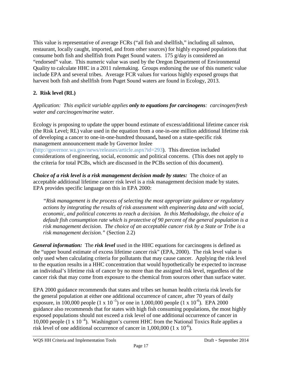This value is representative of average FCRs ("all fish and shellfish," including all salmon, restaurant, locally caught, imported, and from other sources) for highly exposed populations that consume both fish and shellfish from Puget Sound waters. 175 g/day is considered an "endorsed" value. This numeric value was used by the Oregon Department of Environmental Quality to calculate HHC in a 2011 rulemaking. Groups endorsing the use of this numeric value include EPA and several tribes. Average FCR values for various highly exposed groups that harvest both fish and shellfish from Puget Sound waters are found in Ecology, 2013.

## **2. Risk level (RL)**

### *Application: This explicit variable applies only to equations for carcinogens: carcinogen/fresh water and carcinogen/marine water.*

Ecology is proposing to update the upper bound estimate of excess/additional lifetime cancer risk (the Risk Level; RL) value used in the equation from a one-in-one million additional lifetime risk of developing a cancer to one-in-one-hundred thousand**,** based on a state-specific risk management announcement made by Governor Inslee

(http://governor.wa.gov/news/releases/article.aspx?id=293). This direction included considerations of engineering, social, economic and political concerns. (This does not apply to the criteria for total PCBs, which are discussed in the PCBs section of this document).

*Choice of a risk level is a risk management decision made by states:* The choice of an acceptable additional lifetime cancer risk level is a risk management decision made by states. EPA provides specific language on this in EPA 2000:

*"Risk management is the process of selecting the most appropriate guidance or regulatory actions by integrating the results of risk assessment with engineering data and with social, economic, and political concerns to reach a decision. In this Methodology, the choice of a default fish consumption rate which is protective of 90 percent of the general population is a risk management decision. The choice of an acceptable cancer risk by a State or Tribe is a risk management decision."* (Section 2.2)

*General information:* The *risk level* used in the HHC equations for carcinogens is defined as the "upper bound estimate of excess lifetime cancer risk" (EPA, 2000). The risk level value is only used when calculating criteria for pollutants that may cause cancer. Applying the risk level to the equation results in a HHC concentration that would hypothetically be expected to increase an individual's lifetime risk of cancer by no more than the assigned risk level, regardless of the cancer risk that may come from exposure to the chemical from sources other than surface water.

EPA 2000 guidance recommends that states and tribes set human health criteria risk levels for the general population at either one additional occurrence of cancer, after 70 years of daily exposure, in 100,000 people (1 x 10<sup>-5</sup>) or one in 1,000,000 people (1 x 10<sup>-6</sup>). EPA 2000 guidance also recommends that for states with high fish consuming populations, the most highly exposed populations should not exceed a risk level of one additional occurrence of cancer in 10,000 people (1 x 10 $<sup>-4</sup>$ ). Washington's current HHC from the National Toxics Rule applies a</sup> risk level of one additional occurrence of cancer in  $1,000,000$  (1 x  $10^{-6}$ ).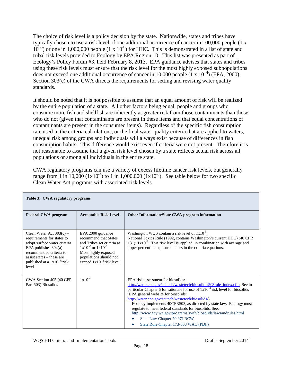The choice of risk level is a policy decision by the state. Nationwide, states and tribes have typically chosen to use a risk level of one additional occurrence of cancer in 100,000 people (1 x  $10^{-5}$ ) or one in 1,000,000 people (1 x 10<sup>-6</sup>) for HHC. This is demonstrated in a list of state and tribal risk levels provided to Ecology by EPA Region 10. This list was presented as part of Ecology's Policy Forum #3, held February 8, 2013. EPA guidance advises that states and tribes using these risk levels must ensure that the risk level for the most highly exposed subpopulations does not exceed one additional occurrence of cancer in 10,000 people  $(1 \times 10^{-4})$  (EPA, 2000). Section 303(c) of the CWA directs the requirements for setting and revising water quality standards.

It should be noted that it is not possible to assume that an equal amount of risk will be realized by the entire population of a state. All other factors being equal, people and groups who consume more fish and shellfish are inherently at greater risk from those contaminants than those who do not (given that contaminants are present in these items and that equal concentrations of contaminants are present in the consumed items). Regardless of the specific fish consumption rate used in the criteria calculations, or the final water quality criteria that are applied to waters, unequal risk among groups and individuals will always exist because of differences in fish consumption habits. This difference would exist even if criteria were not present. Therefore it is not reasonable to assume that a given risk level chosen by a state reflects actual risk across all populations or among all individuals in the entire state.

CWA regulatory programs can use a variety of excess lifetime cancer risk levels, but generally range from 1 in 10,000  $(1x10^{-4})$  to 1 in 1,000,000  $(1x10^{-6})$ . See table below for two specific Clean Water Act programs with associated risk levels.

<span id="page-23-0"></span>

| Table 3: CWA regulatory programs                                                                                                                                                                                       |                                                                                                                                                                                          |                                                                                                                                                                                                                                                                                                                                                                                                                                                                                                                                                                                |  |
|------------------------------------------------------------------------------------------------------------------------------------------------------------------------------------------------------------------------|------------------------------------------------------------------------------------------------------------------------------------------------------------------------------------------|--------------------------------------------------------------------------------------------------------------------------------------------------------------------------------------------------------------------------------------------------------------------------------------------------------------------------------------------------------------------------------------------------------------------------------------------------------------------------------------------------------------------------------------------------------------------------------|--|
| <b>Federal CWA program</b>                                                                                                                                                                                             | <b>Acceptable Risk Level</b>                                                                                                                                                             | Other Information/State CWA program information                                                                                                                                                                                                                                                                                                                                                                                                                                                                                                                                |  |
| Clean Water Act $303(c)$ –<br>requirements for states to<br>adopt surface water criteria<br>EPA publishes 304(a)<br>recommended criteria to<br>$assist states - these are$<br>published at a $1x10^{-6}$ risk<br>level | EPA 2000 guidance<br>recommend that States<br>and Tribes set criteria at<br>$1x10^{-5}$ or $1x10^{-6}$<br>Most highly exposed<br>populations should not<br>exceed $1x10^{-4}$ risk level | Washington WQS contain a risk level of 1x10 <sup>-6</sup> .<br>National Toxics Rule (1992, contains Washington's current HHC) (40 CFR<br>131): $1x10^{-6}$ . This risk level is applied in combination with average and<br>upper percentile exposure factors in the criteria equations.                                                                                                                                                                                                                                                                                        |  |
| CWA Section 405 (40 CFR<br>Part 503) Biosolids                                                                                                                                                                         | $1x10^{-4}$                                                                                                                                                                              | EPA risk assessment for biosolids:<br>http://water.epa.gov/scitech/wastetech/biosolids/503rule index.cfm See in<br>particular Chapter 6 for rationale for use of $1x10^{-4}$ risk level for biosolids<br>(EPA general website for biosolids:<br>http://water.epa.gov/scitech/wastetech/biosolids/)<br>Ecology implements 40CFR503, as directed by state law. Ecology must<br>regulate to meet federal standards for biosolids. See:<br>http://www.ecy.wa.gov/programs/swfa/biosolids/lawsandrules.html<br>State Law-Chapter 70.97J RCW<br>State Rule-Chapter 173-308 WAC (PDF) |  |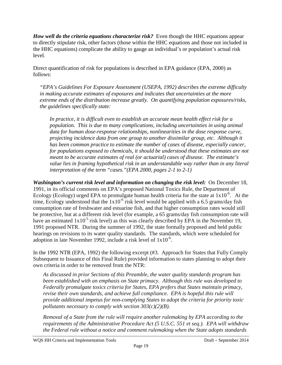*How well do the criteria equations characterize risk?* Even though the HHC equations appear to directly stipulate risk, other factors (those within the HHC equations and those not included in the HHC equations) complicate the ability to gauge an individual's or population's actual risk level.

Direct quantification of risk for populations is described in EPA guidance (EPA, 2000) as follows:

*"EPA's Guidelines For Exposure Assessment (USEPA, 1992) describes the extreme difficulty in making accurate estimates of exposures and indicates that uncertainties at the more extreme ends of the distribution increase greatly. On quantifying population exposures/risks, the guidelines specifically state:*

*In practice, it is difficult even to establish an accurate mean health effect risk for a population. This is due to many complications, including uncertainties in using animal data for human dose-response relationships, nonlinearities in the dose response curve, projecting incidence data from one group to another dissimilar group, etc. Although it has been common practice to estimate the number of cases of disease, especially cancer, for populations exposed to chemicals, it should be understood that these estimates are not meant to be accurate estimates of real (or actuarial) cases of disease. The estimate's*  value lies in framing hypothetical risk in an understandable way rather than in any literal *interpretation of the term "cases."(EPA 2000, pages 2-1 to 2-1)*

*Washington's current risk level and information on changing the risk level:* On December 18, 1991, in its official comments on EPA's proposed National Toxics Rule, the Department of Ecology (Ecology) urged EPA to promulgate human health criteria for the state at  $1x10^{-6}$ . At the time, Ecology understood that the  $1x10^{-6}$  risk level would be applied with a 6.5 grams/day fish consumption rate of freshwater and estuarine fish, and that higher consumption rates would still be protective, but at a different risk level (for example, a 65 grams/day fish consumption rate will have an estimated  $1x10^{-5}$  risk level) as this was clearly described by EPA in the November 19, 1991 proposed NTR. During the summer of 1992, the state formally proposed and held public hearings on revisions to its water quality standards. The standards, which were scheduled for adoption in late November 1992, include a risk level of 1x10-6 *.* 

In the 1992 NTR (EPA, 1992) the following excerpt (#3. Approach for States that Fully Comply Subsequent to Issuance of this Final Rule) provided information to states planning to adopt their own criteria in order to be removed from the NTR:

*As discussed in prior Sections of this Preamble, the water quality standards program has been established with an emphasis on State primacy. Although this rule was developed to Federally promulgate toxics criteria for States, EPA prefers that States maintain primacy, revise their own standards, and achieve full compliance. EPA is hopeful this rule will provide additional impetus for non-complying States to adopt the criteria for priority toxic pollutants necessary to comply with section 303(c)(2)(B).*

*Removal of a State from the rule will require another rulemaking by EPA according to the requirements of the Administrative Procedure Act (5 U.S.C. 551 et seq.). EPA will withdraw the Federal rule without a notice and comment rulemaking when the State adopts standards*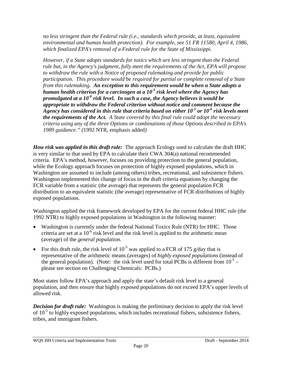*no less stringent than the Federal rule (i.e., standards which provide, at least, equivalent environmental and human health protection). For example, see 51 FR 11580, April 4, 1986, which finalized EPA's removal of a Federal rule for the State of Mississippi.*

*However, if a State adopts standards for toxics which are less stringent than the Federal rule but, in the Agency's judgment, fully meet the requirements of the Act, EPA will propose to withdraw the rule with a Notice of proposed rulemaking and provide for public participation. This procedure would be required for partial or complete removal of a State from this rulemaking. An exception to this requirement would be when a State adopts a human health criterion for a carcinogen at a 10-5 risk level where the Agency has promulgated at a 10-6 risk level. In such a case, the Agency believes it would be appropriate to withdraw the Federal criterion without notice and comment because the Agency has considered in this rule that criteria based on either 10-5 or 10-6 risk levels meet the requirements of the Act. A State covered by this final rule could adopt the necessary criteria using any of the three Options or combinations of those Options described in EPA's 1989 guidance." (*1992 NTR, emphasis added*)*

*How risk was applied in this draft rule:* The approach Ecology used to calculate the draft HHC is very similar to that used by EPA to calculate their CWA 304(a) national recommended criteria. EPA's method, however, focuses on providing protection to the general population, while the Ecology approach focuses on protection of highly exposed populations, which in Washington are assumed to include (among others) tribes, recreational, and subsistence fishers. Washington implemented this change of focus in the draft criteria equations by changing the FCR variable from a statistic (the average) that represents the general population FCR distribution to an equivalent statistic (the average) representative of FCR distributions of highly exposed populations.

Washington applied the risk framework developed by EPA for the current federal HHC rule (the 1992 NTR) to highly exposed populations in Washington in the following manner:

- Washington is currently under the federal National Toxics Rule (NTR) for HHC. Those criteria are set at a  $10^{-6}$  risk level and the risk level is applied to the arithmetic mean (average) of the *general population.*
- For this draft rule, the risk level of  $10^{-5}$  was applied to a FCR of 175 g/day that is representative of the arithmetic means (averages) of *highly exposed populations* (instead of the general population). (Note: the risk level used for total PCBs is different from  $10^{-5}$  – please see section on Challenging Chemicals: PCBs.)

Most states follow EPA's approach and apply the state's default risk level to a general population, and then ensure that highly exposed populations do not exceed EPA's upper levels of allowed risk.

*Decision for draft rule:* Washington is making the preliminary decision to apply the risk level of  $10^{-5}$  to highly exposed populations, which includes recreational fishers, subsistence fishers, tribes, and immigrant fishers.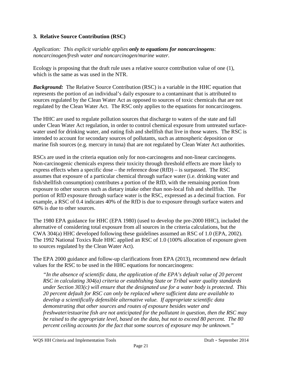### **3. Relative Source Contribution (RSC)**

*Application: This explicit variable applies only to equations for noncarcinogens: noncarcinogen/fresh water and noncarcinogen/marine water.*

Ecology is proposing that the draft rule uses a relative source contribution value of one (1), which is the same as was used in the NTR.

*Background:* The Relative Source Contribution (RSC) is a variable in the HHC equation that represents the portion of an individual's daily exposure to a contaminant that is attributed to sources regulated by the Clean Water Act as opposed to sources of toxic chemicals that are not regulated by the Clean Water Act. The RSC only applies to the equations for noncarcinogens.

The HHC are used to regulate pollution sources that discharge to waters of the state and fall under Clean Water Act regulation, in order to control chemical exposure from untreated surfacewater used for drinking water, and eating fish and shellfish that live in those waters. The RSC is intended to account for secondary sources of pollutants, such as atmospheric deposition or marine fish sources (e.g. mercury in tuna) that are not regulated by Clean Water Act authorities.

RSCs are used in the criteria equation only for non-carcinogens and non-linear carcinogens. Non-carcinogenic chemicals express their toxicity through threshold effects are more likely to express effects when a specific dose – the reference dose  $(RfD)$  – is surpassed. The RSC assumes that exposure of a particular chemical through surface water (i.e. drinking water and fish/shellfish consumption) contributes a portion of the RfD, with the remaining portion from exposure to other sources such as dietary intake other than non-local fish and shellfish. The portion of RfD exposure through surface water is the RSC, expressed as a decimal fraction. For example, a RSC of 0.4 indicates 40% of the RfD is due to exposure through surface waters and 60% is due to other sources.

The 1980 EPA guidance for HHC (EPA 1980) (used to develop the pre-2000 HHC), included the alternative of considering total exposure from all sources in the criteria calculations, but the CWA 304(a) HHC developed following these guidelines assumed an RSC of 1.0 (EPA, 2002). The 1992 National Toxics Rule HHC applied an RSC of 1.0 (100% allocation of exposure given to sources regulated by the Clean Water Act).

The EPA 2000 guidance and follow-up clarifications from EPA (2013), recommend new default values for the RSC to be used in the HHC equations for noncarcinogens:

*"In the absence of scientific data, the application of the EPA's default value of 20 percent RSC in calculating 304(a) criteria or establishing State or Tribal water quality standards under Section 303(c) will ensure that the designated use for a water body is protected. This 20 percent default for RSC can only be replaced where sufficient data are available to develop a scientifically defensible alternative value. If appropriate scientific data demonstrating that other sources and routes of exposure besides water and freshwater/estuarine fish are not anticipated for the pollutant in question, then the RSC may be raised to the appropriate level, based on the data, but not to exceed 80 percent. The 80 percent ceiling accounts for the fact that some sources of exposure may be unknown."*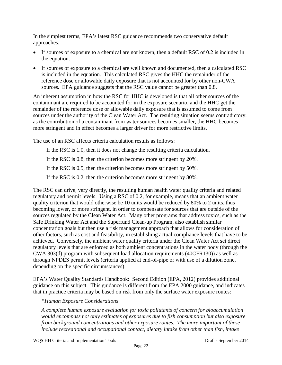In the simplest terms, EPA's latest RSC guidance recommends two conservative default approaches:

- If sources of exposure to a chemical are not known, then a default RSC of 0.2 is included in the equation.
- If sources of exposure to a chemical are well known and documented, then a calculated RSC is included in the equation. This calculated RSC gives the HHC the remainder of the reference dose or allowable daily exposure that is not accounted for by other non-CWA sources. EPA guidance suggests that the RSC value cannot be greater than 0.8.

An inherent assumption in how the RSC for HHC is developed is that all other sources of the contaminant are required to be accounted for in the exposure scenario, and the HHC get the remainder of the reference dose or allowable daily exposure that is assumed to come from sources under the authority of the Clean Water Act. The resulting situation seems contradictory: as the contribution of a contaminant from water sources becomes smaller, the HHC becomes more stringent and in effect becomes a larger driver for more restrictive limits.

The use of an RSC affects criteria calculation results as follows:

If the RSC is 1.0, then it does not change the resulting criteria calculation.

If the RSC is 0.8, then the criterion becomes more stringent by 20%.

If the RSC is 0.5, then the criterion becomes more stringent by 50%.

If the RSC is 0.2, then the criterion becomes more stringent by 80%.

The RSC can drive, very directly, the resulting human health water quality criteria and related regulatory and permit levels. Using a RSC of 0.2, for example, means that an ambient water quality criterion that would otherwise be 10 units would be reduced by 80% to 2 units, thus becoming lower, or more stringent, in order to compensate for sources that are outside of the sources regulated by the Clean Water Act. Many other programs that address toxics, such as the Safe Drinking Water Act and the Superfund Clean-up Program, also establish similar concentration goals but then use a risk management approach that allows for consideration of other factors, such as cost and feasibility, in establishing actual compliance levels that have to be achieved. Conversely, the ambient water quality criteria under the Clean Water Act set direct regulatory levels that are enforced as both ambient concentrations in the water body (through the CWA 303(d) program with subsequent load allocation requirements (40CFR130)) as well as through NPDES permit levels (criteria applied at end-of-pipe or with use of a dilution zone, depending on the specific circumstances).

EPA's Water Quality Standards Handbook: Second Edition (EPA, 2012) provides additional guidance on this subject. This guidance is different from the EPA 2000 guidance, and indicates that in practice criteria may be based on risk from only the surface water exposure routes:

### *"Human Exposure Considerations*

*A complete human exposure evaluation for toxic pollutants of concern for bioaccumulation would encompass not only estimates of exposures due to fish consumption but also exposure from background concentrations and other exposure routes. The more important of these include recreational and occupational contact, dietary intake from other than fish, intake*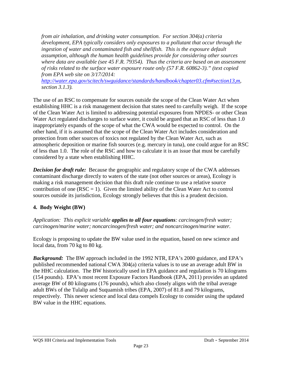*from air inhalation, and drinking water consumption. For section 304(a) criteria development, EPA typically considers only exposures to a pollutant that occur through the ingestion of water and contaminated fish and shellfish. This is the exposure default assumption, although the human health guidelines provide for considering other sources where data are available (see 45 F.R. 79354). Thus the criteria are based on an assessment of risks related to the surface water exposure route only (57 F.R. 60862-3)." (text copied from EPA web site on 3/17/2014:* 

*[http://water.epa.gov/scitech/swguidance/standards/handbook/chapter03.cfm#section13,m,](http://water.epa.gov/scitech/swguidance/standards/handbook/chapter03.cfm#section13,m) section 3.1.3).*

The use of an RSC to compensate for sources outside the scope of the Clean Water Act when establishing HHC is a risk management decision that states need to carefully weigh. If the scope of the Clean Water Act is limited to addressing potential exposures from NPDES- or other Clean Water Act regulated discharges to surface water, it could be argued that an RSC of less than 1.0 inappropriately expands of the scope of what the CWA would be expected to control. On the other hand, if it is assumed that the scope of the Clean Water Act includes consideration and protection from other sources of toxics not regulated by the Clean Water Act, such as atmospheric deposition or marine fish sources (e.g. mercury in tuna), one could argue for an RSC of less than 1.0. The role of the RSC and how to calculate it is an issue that must be carefully considered by a state when establishing HHC.

*Decision for draft rule:* Because the geographic and regulatory scope of the CWA addresses contaminant discharge directly to waters of the state (not other sources or areas), Ecology is making a risk management decision that this draft rule continue to use a relative source contribution of one  $(RSC = 1)$ . Given the limited ability of the Clean Water Act to control sources outside its jurisdiction, Ecology strongly believes that this is a prudent decision.

## **4. Body Weight (BW)**

*Application: This explicit variable applies to all four equations: carcinogen/fresh water; carcinogen/marine water; noncarcinogen/fresh water; and noncarcinogen/marine water.*

Ecology is proposing to update the BW value used in the equation, based on new science and local data, from 70 kg to 80 kg.

*Background:* The BW approach included in the 1992 NTR, EPA's 2000 guidance, and EPA's published recommended national CWA 304(a) criteria values is to use an average adult BW in the HHC calculation. The BW historically used in EPA guidance and regulation is 70 kilograms (154 pounds). EPA's most recent Exposure Factors Handbook (EPA, 2011) provides an updated average BW of 80 kilograms (176 pounds), which also closely aligns with the tribal average adult BWs of the Tulalip and Suquamish tribes (EPA, 2007) of 81.8 and 79 kilograms, respectively. This newer science and local data compels Ecology to consider using the updated BW value in the HHC equations.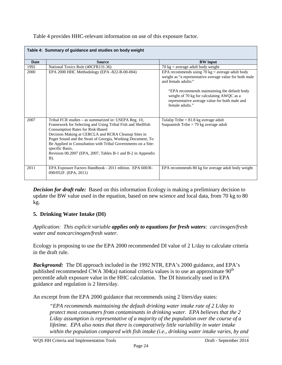<span id="page-29-0"></span>

|             | Table 4: Summary of guidance and studies on body weight                                                                                                                                                                                                                                                                                                                                                                                            |                                                                                                                                                                 |  |  |  |
|-------------|----------------------------------------------------------------------------------------------------------------------------------------------------------------------------------------------------------------------------------------------------------------------------------------------------------------------------------------------------------------------------------------------------------------------------------------------------|-----------------------------------------------------------------------------------------------------------------------------------------------------------------|--|--|--|
| <b>Date</b> | <b>Source</b>                                                                                                                                                                                                                                                                                                                                                                                                                                      | <b>BW</b> input                                                                                                                                                 |  |  |  |
| 1992        | National Toxics Rule (40CFR131.36)                                                                                                                                                                                                                                                                                                                                                                                                                 | $70 \text{ kg}$ = average adult body weight                                                                                                                     |  |  |  |
| 2000        | EPA 2000 HHC Methodology (EPA -822-B-00-004)                                                                                                                                                                                                                                                                                                                                                                                                       | EPA recommends using $70 \text{ kg}$ = average adult body<br>weight as "a representative average value for both male<br>and female adults:"                     |  |  |  |
|             |                                                                                                                                                                                                                                                                                                                                                                                                                                                    | "EPA recommends maintaining the default body"<br>weight of 70 kg for calculating AWQC as a<br>representative average value for both male and<br>female adults." |  |  |  |
| 2007        | Tribal FCR studies – as summarized in: USEPA Reg. 10,<br>Framework for Selecting and Using Tribal Fish and Shellfish<br><b>Consumption Rates for Risk-Based</b><br>Decision Making at CERCLA and RCRA Cleanup Sites in<br>Puget Sound and the Strait of Georgia, Working Document, To<br>Be Applied in Consultation with Tribal Governments on a Site-<br>specific Basis,<br>Revision 00.2007 (EPA, 2007, Tables B-1 and B-2 in Appendix<br>$B)$ . | Tulalip Tribe $= 81.8$ kg average adult<br>Suquamish Tribe $= 79$ kg average adult                                                                              |  |  |  |
| 2011        | EPA Exposure Factors Handbook - 2011 edition. EPA 600/R-<br>090/052F. (EPA, 2011)                                                                                                                                                                                                                                                                                                                                                                  | EPA recommends 80 kg for average adult body weight                                                                                                              |  |  |  |

Table 4 provides HHC-relevant information on use of this exposure factor.

*Decision for draft rule:* Based on this information Ecology is making a preliminary decision to update the BW value used in the equation, based on new science and local data, from 70 kg to 80 kg.

### **5. Drinking Water Intake (DI)**

*Application: This explicit variable applies only to equations for fresh waters: carcinogen/fresh water and noncarcinogen/fresh water.*

Ecology is proposing to use the EPA 2000 recommended DI value of 2 L/day to calculate criteria in the draft rule.

*Background:* The DI approach included in the 1992 NTR, EPA's 2000 guidance, and EPA's published recommended CWA 304(a) national criteria values is to use an approximate  $90<sup>th</sup>$ percentile adult exposure value in the HHC calculation. The DI historically used in EPA guidance and regulation is 2 liters/day.

An excerpt from the EPA 2000 guidance that recommends using 2 liters/day states:

*"EPA recommends maintaining the default drinking water intake rate of 2 L/day to protect most consumers from contaminants in drinking water. EPA believes that the 2 L/day assumption is representative of a majority of the population over the course of a lifetime. EPA also notes that there is comparatively little variability in water intake within the population compared with fish intake (i.e., drinking water intake varies, by and*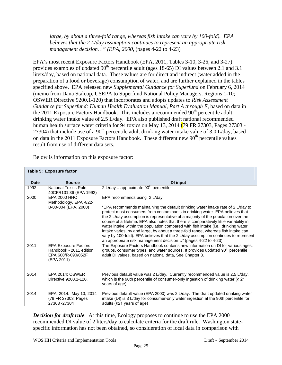*large, by about a three-fold range, whereas fish intake can vary by 100-fold). EPA believes that the 2 L/day assumption continues to represent an appropriate risk management decision…" (EPA, 2000,* (pages 4-22 to 4-23)

EPA's most recent Exposure Factors Handbook (EPA, 2011, Tables 3-10, 3-26, and 3-27) provides examples of updated  $90<sup>th</sup>$  percentile adult (ages 18-65) DI values between 2.1 and 3.1 liters/day, based on national data. These values are for direct and indirect (water added in the preparation of a food or beverage) consumption of water, and are further explained in the tables specified above. EPA released new *Supplemental Guidance for Superfund* on February 6, 2014 (memo from Dana Stalcup, USEPA to Superfund National Policy Managers, Regions 1-10; OSWER Directive 9200.1-120) that incorporates and adopts updates to *Risk Assessment Guidance for Superfund: Human Health Evaluation Manual, Part A through E*, based on data in the 2011 Exposure Factors Handbook. This includes a recommended 90<sup>th</sup> percentile adult drinking water intake value of 2.5 L/day. EPA also published draft national recommended human health surface water criteria for 94 toxics on May 13, 2014 (79 FR 27303, Pages 27303 -27304) that include use of a  $90<sup>th</sup>$  percentile adult drinking water intake value of 3.0 L/day, based on data in the 2011 Exposure Factors Handbook. These different new  $90<sup>th</sup>$  percentile values result from use of different data sets.

<span id="page-30-0"></span>

| Table 5: Exposure factor |                                                                                             |                                                                                                                                                                                                                                                                                                                                                                                                                                                                                                                                                                                                                                                                                                                     |  |  |
|--------------------------|---------------------------------------------------------------------------------------------|---------------------------------------------------------------------------------------------------------------------------------------------------------------------------------------------------------------------------------------------------------------------------------------------------------------------------------------------------------------------------------------------------------------------------------------------------------------------------------------------------------------------------------------------------------------------------------------------------------------------------------------------------------------------------------------------------------------------|--|--|
| <b>Date</b>              | <b>Source</b>                                                                               | DI input                                                                                                                                                                                                                                                                                                                                                                                                                                                                                                                                                                                                                                                                                                            |  |  |
| 1992                     | National Toxics Rule,<br>40CFR131.36 (EPA 1992)                                             | 2 L/day = approximate $90th$ percentile                                                                                                                                                                                                                                                                                                                                                                                                                                                                                                                                                                                                                                                                             |  |  |
| 2000                     | <b>EPA 2000 HHC</b><br>Methodology, EPA -822-<br>B-00-004 (EPA, 2000)                       | EPA recommends using 2 L/day:<br>"EPA recommends maintaining the default drinking water intake rate of 2 L/day to<br>protect most consumers from contaminants in drinking water. EPA believes that<br>the 2 L/day assumption is representative of a majority of the population over the<br>course of a lifetime. EPA also notes that there is comparatively little variability in<br>water intake within the population compared with fish intake (i.e., drinking water<br>intake varies, by and large, by about a three-fold range, whereas fish intake can<br>vary by 100-fold). EPA believes that the 2 L/day assumption continues to represent<br>an appropriate risk management decision" (pages 4-22 to 4-23) |  |  |
| 2011                     | <b>EPA Exposure Factors</b><br>Handbook - 2011 edition.<br>EPA 600/R-090/052F<br>(EPA 2011) | The Exposure Factors Handbook contains new information on DI for various ages,<br>groups, consumer types, and water sources. It provides updated 90 <sup>th</sup> percentile<br>adult DI values, based on national data, See Chapter 3.                                                                                                                                                                                                                                                                                                                                                                                                                                                                             |  |  |
| 2014                     | EPA 2014; OSWER<br>Directive 9200.1-120.                                                    | Previous default value was 2 L/day. Currently recommended value is 2.5 L/day,<br>which is the 90th percentile of consumer-only ingestion of drinking water ( $\geq 21$<br>years of age)                                                                                                                                                                                                                                                                                                                                                                                                                                                                                                                             |  |  |
| 2014                     | EPA, 2014: May 13, 2014<br>(79 FR 27303, Pages<br>27303-27304                               | Previous default value (EPA 2000) was 2 L/day. The draft updated drinking water<br>intake (DI) is 3 L/day for consumer-only water ingestion at the 90th percentile for<br>adults ( $\geq$ 21 years of age)                                                                                                                                                                                                                                                                                                                                                                                                                                                                                                          |  |  |

Below is information on this exposure factor:

**Decision for draft rule**: At this time, Ecology proposes to continue to use the EPA 2000 recommended DI value of 2 liters/day to calculate criteria for the draft rule. Washington statespecific information has not been obtained, so consideration of local data in comparison with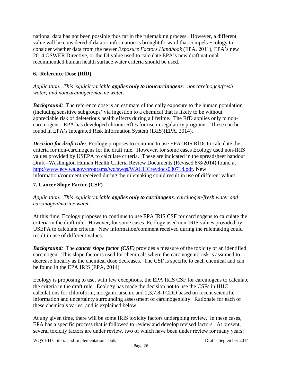national data has not been possible thus far in the rulemaking process. However, a different value will be considered if data or information is brought forward that compels Ecology to consider whether data from the newer *Exposure Factors Handbook* (EPA, 2011), EPA's new 2014 OSWER Directive, or the DI value used to calculate EPA's new draft national recommended human health surface water criteria should be used.

## **6. Reference Dose (RfD)**

*Application: This explicit variable applies only to noncarcinogens: noncarcinogen/fresh water; and noncarcinogen/marine water.*

*Background:* The reference dose is an estimate of the daily exposure to the human population (including sensitive subgroups) via ingestion to a chemical that is likely to be without appreciable risk of deleterious health effects during a lifetime. The RfD applies only to noncarcinogens. EPA has developed chronic RfDs for use in regulatory programs. These can be found in EPA's Integrated Risk Information System (IRIS)(EPA, 2014).

*Decision for draft rule:* Ecology proposes to continue to use EPA IRIS RfDs to calculate the criteria for non-carcinogens for the draft rule. However, for some cases Ecology used non-IRIS values provided by USEPA to calculate criteria. These are indicated in the spreadsheet handout Draft –Washington Human Health Criteria Review Documents (Revised 8/8/2014) found at [http://www.ecy.wa.gov/programs/wq/swqs/WAHHCrevdocs080714.pdf.](http://www.ecy.wa.gov/programs/wq/swqs/WAHHCrevdocs080714.pdf) New information/comment received during the rulemaking could result in use of different values.

## **7. Cancer Slope Factor (CSF)**

### *Application: This explicit variable applies only to carcinogens: carcinogen/fresh water and carcinogen/marine water.*

At this time, Ecology proposes to continue to use EPA IRIS CSF for carcinogens to calculate the criteria in the draft rule. However, for some cases, Ecology used non-IRIS values provided by USEPA to calculate criteria. New information/comment received during the rulemaking could result in use of different values.

*Background:* The *cancer slope factor (CSF)* provides a measure of the toxicity of an identified carcinogen. This slope factor is used for chemicals where the carcinogenic risk is assumed to decrease linearly as the chemical dose decreases. The CSF is specific to each chemical and can be found in the EPA IRIS (EPA, 2014).

Ecology is proposing to use, with few exceptions, the EPA IRIS CSF for carcinogens to calculate the criteria in the draft rule. Ecology has made the decision not to use the CSFs in HHC calculations for chloroform, inorganic arsenic and 2,3,7,8-TCDD based on recent scientific information and uncertainty surrounding assessment of carcinogenicity. Rationale for each of these chemicals varies, and is explained below.

At any given time, there will be some IRIS toxicity factors undergoing review. In these cases, EPA has a specific process that is followed to review and develop revised factors. At present, several toxicity factors are under review, two of which have been under review for many years: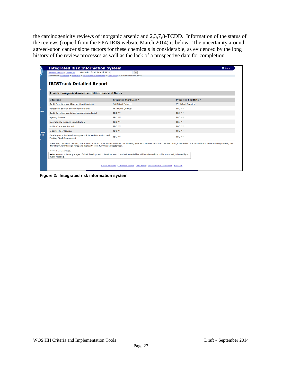the carcinogenicity reviews of inorganic arsenic and 2,3,7,8-TCDD. Information of the status of the reviews (copied from the EPA IRIS website March 2014) is below. The uncertainty around agreed-upon cancer slope factors for these chemicals is considerable, as evidenced by the long history of the review processes as well as the lack of a prospective date for completion.

|                                                                                                                                                                                                                                                                                                   | <b>Integrated Risk Information System</b>                                                                                                                          |                                                    | <sup>2</sup> Share          |  |  |  |
|---------------------------------------------------------------------------------------------------------------------------------------------------------------------------------------------------------------------------------------------------------------------------------------------------|--------------------------------------------------------------------------------------------------------------------------------------------------------------------|----------------------------------------------------|-----------------------------|--|--|--|
|                                                                                                                                                                                                                                                                                                   | Search: C All EPA O IRIS<br><b>Recent Additions   Contact Us</b>                                                                                                   | Go                                                 |                             |  |  |  |
| You are here: EPA Home >> Research >> Environmental Assessment >> IRIS Home >> IRISTrack Detailed Report<br><b>IRISTrack Detailed Report</b>                                                                                                                                                      |                                                                                                                                                                    |                                                    |                             |  |  |  |
|                                                                                                                                                                                                                                                                                                   |                                                                                                                                                                    | Arsenic, inorganic Assessment Milestones and Dates |                             |  |  |  |
|                                                                                                                                                                                                                                                                                                   | <b>Milestone</b>                                                                                                                                                   | <b>Projected Start Date *</b>                      | <b>Projected End Date *</b> |  |  |  |
|                                                                                                                                                                                                                                                                                                   | Draft Development (hazard identification)                                                                                                                          | FY03/2nd Quarter                                   | FY14/2nd Quarter            |  |  |  |
|                                                                                                                                                                                                                                                                                                   | Release lit search and evidence tables                                                                                                                             | FY14/2nd Quarter                                   | $TBD$ **                    |  |  |  |
|                                                                                                                                                                                                                                                                                                   | Draft Development (dose-response analysis)                                                                                                                         | $TBD$ **                                           | $TBD$ **                    |  |  |  |
|                                                                                                                                                                                                                                                                                                   | <b>Agency Review</b>                                                                                                                                               | $TBD$ **                                           | $TBD$ **                    |  |  |  |
|                                                                                                                                                                                                                                                                                                   | <b>Interagency Science Consultation</b>                                                                                                                            | $TBD$ **                                           | $TBD$ **                    |  |  |  |
|                                                                                                                                                                                                                                                                                                   | <b>Public Comment Period</b>                                                                                                                                       | $TBD$ **                                           | TBD **                      |  |  |  |
| tions                                                                                                                                                                                                                                                                                             | <b>External Peer Review</b>                                                                                                                                        | $TBD$ **                                           | $TBD$ **                    |  |  |  |
|                                                                                                                                                                                                                                                                                                   | Final Agency Review/Interagency Science Discussion and<br><b>Posting Final Assessment</b>                                                                          | $TBD$ **                                           | $TBD$ **                    |  |  |  |
| * For EPA, the Fiscal Year (FY) starts in October and ends in September of the following year. First quarter runs from October through December: the second from January through March: the<br>third from April through June; and the fourth from July through September.<br>** To be determined. |                                                                                                                                                                    |                                                    |                             |  |  |  |
|                                                                                                                                                                                                                                                                                                   | Note: Arsenic is in early stages of draft development. Literature search and evidence tables will be released for public comment, followed by a<br>public meeting. |                                                    |                             |  |  |  |
| Recent Additions   Advanced Search   IRIS Home   Environmental Assessment   Research                                                                                                                                                                                                              |                                                                                                                                                                    |                                                    |                             |  |  |  |

<span id="page-32-0"></span>**Figure 2: Integrated risk information system**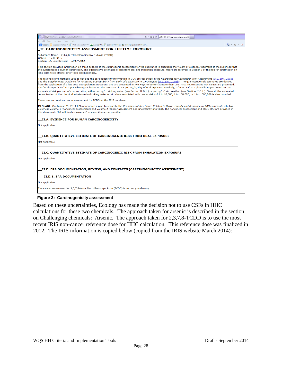| US http://www.epa.gov/iris/subst/1024.htm<br>$\mathcal{P}$ $\mathbb{R}$ & $\mathbb{C}$ $\times$ $\left\  \frac{US}{EPA}$ 2,3,7,8-Tetrachlorodibenzo- $\times$                                                                                                                                                                                                                                                                                                                                                                                                                                                                                                                                  |                                                                                                                                                                                                                                                                                                                                                       |  |  |  |  |
|------------------------------------------------------------------------------------------------------------------------------------------------------------------------------------------------------------------------------------------------------------------------------------------------------------------------------------------------------------------------------------------------------------------------------------------------------------------------------------------------------------------------------------------------------------------------------------------------------------------------------------------------------------------------------------------------|-------------------------------------------------------------------------------------------------------------------------------------------------------------------------------------------------------------------------------------------------------------------------------------------------------------------------------------------------------|--|--|--|--|
| Edit View Favorites Tools Help                                                                                                                                                                                                                                                                                                                                                                                                                                                                                                                                                                                                                                                                 |                                                                                                                                                                                                                                                                                                                                                       |  |  |  |  |
| Suggested Sites v (B) Web Slice Gallery v A Access WA (B) Ecology FTP Site C Idaho Department of Envi                                                                                                                                                                                                                                                                                                                                                                                                                                                                                                                                                                                          | <b>A → 5</b> → ⊡                                                                                                                                                                                                                                                                                                                                      |  |  |  |  |
| II. CARCINOGENICITY ASSESSMENT FOR LIFETIME EXPOSURE                                                                                                                                                                                                                                                                                                                                                                                                                                                                                                                                                                                                                                           |                                                                                                                                                                                                                                                                                                                                                       |  |  |  |  |
| Substance Name - 2,3,7,8-tetrachlorodibenzo-p-dioxin (TCDD)<br>CASRN - 1746-01-6                                                                                                                                                                                                                                                                                                                                                                                                                                                                                                                                                                                                               |                                                                                                                                                                                                                                                                                                                                                       |  |  |  |  |
| Section I.A. Last Revised - 02/17/2012                                                                                                                                                                                                                                                                                                                                                                                                                                                                                                                                                                                                                                                         |                                                                                                                                                                                                                                                                                                                                                       |  |  |  |  |
| long term toxic effects other than carcinogenicity.                                                                                                                                                                                                                                                                                                                                                                                                                                                                                                                                                                                                                                            | This section provides information on three aspects of the carcinogenic assessment for the substance in question: the weight of evidence judgment of the likelihood that<br>the substance is a human carcinogen, and quantitative estimates of risk from oral and inhalation exposure. Users are referred to Section I of this file for information on |  |  |  |  |
| The rationale and methods used to develop the carcinogenicity information in IRIS are described in the Guidelines for Carcinogen Risk Assessment (U.S. EPA, 2005a)<br>and the Supplemental Guidance for Assessing Susceptibility from Early Life Exposure to Carcinogens (U.S. EPA, 2005b). The quantitative risk estimates are derived<br>from the application of a low dose extrapolation procedure, and are presented in two ways to better facilitate their use. First, route specific risk values are presented.<br>The "oral slope factor" is a plausible upper bound on the estimate of risk per mg/kg day of oral exposure. Similarly, a "unit risk" is a plausible upper bound on the |                                                                                                                                                                                                                                                                                                                                                       |  |  |  |  |
| estimate of risk per unit of concentration, either per µg/L drinking water (see Section II.B.1.) or per µg/m <sup>3</sup> air breathed (see Section II.C.1.). Second, the estimated<br>concentration of the chemical substance in drinking water or air when associated with cancer risks of 1 in 10,000, 1 in 100,000, or 1 in 1,000,000 is also provided.                                                                                                                                                                                                                                                                                                                                    |                                                                                                                                                                                                                                                                                                                                                       |  |  |  |  |
| There was no previous cancer assessment for TCDD on the IRIS database.                                                                                                                                                                                                                                                                                                                                                                                                                                                                                                                                                                                                                         |                                                                                                                                                                                                                                                                                                                                                       |  |  |  |  |
| MESSAGE: On August 29, 2011 EPA announced a plan to separate the Reanalysis of Key Issues Related to Dioxin Toxicity and Response to NAS Comments into two<br>volumes: Volume 1 (noncancer assessment) and Volume 2 (cancer assessment and uncertainty analysis). The noncancer assessment and TCDD RfD are provided in<br>this document. EPA will finalize Volume 2 as expeditiously as possible.                                                                                                                                                                                                                                                                                             |                                                                                                                                                                                                                                                                                                                                                       |  |  |  |  |
| <b>II.A. EVIDENCE FOR HUMAN CARCINOGENICITY</b>                                                                                                                                                                                                                                                                                                                                                                                                                                                                                                                                                                                                                                                |                                                                                                                                                                                                                                                                                                                                                       |  |  |  |  |
| Not applicable                                                                                                                                                                                                                                                                                                                                                                                                                                                                                                                                                                                                                                                                                 |                                                                                                                                                                                                                                                                                                                                                       |  |  |  |  |
| II.B. QUANTITATIVE ESTIMATE OF CARCINOGENIC RISK FROM ORAL EXPOSURE                                                                                                                                                                                                                                                                                                                                                                                                                                                                                                                                                                                                                            |                                                                                                                                                                                                                                                                                                                                                       |  |  |  |  |
| Not applicable                                                                                                                                                                                                                                                                                                                                                                                                                                                                                                                                                                                                                                                                                 |                                                                                                                                                                                                                                                                                                                                                       |  |  |  |  |
| II.C. OUANTITATIVE ESTIMATE OF CARCINOGENIC RISK FROM INHALATION EXPOSURE                                                                                                                                                                                                                                                                                                                                                                                                                                                                                                                                                                                                                      |                                                                                                                                                                                                                                                                                                                                                       |  |  |  |  |
| Not applicable                                                                                                                                                                                                                                                                                                                                                                                                                                                                                                                                                                                                                                                                                 |                                                                                                                                                                                                                                                                                                                                                       |  |  |  |  |
| _II.D. EPA DOCUMENTATION, REVIEW, AND CONTACTS (CARCINOGENICITY ASSESSMENT)                                                                                                                                                                                                                                                                                                                                                                                                                                                                                                                                                                                                                    |                                                                                                                                                                                                                                                                                                                                                       |  |  |  |  |
| <b>II.D.1. EPA DOCUMENTATION</b>                                                                                                                                                                                                                                                                                                                                                                                                                                                                                                                                                                                                                                                               |                                                                                                                                                                                                                                                                                                                                                       |  |  |  |  |
| Not applicable                                                                                                                                                                                                                                                                                                                                                                                                                                                                                                                                                                                                                                                                                 |                                                                                                                                                                                                                                                                                                                                                       |  |  |  |  |
| The cancer assessment for 2,3,7,8-tetrachlorodibenzo-p-dioxin (TCDD) is currently underway.                                                                                                                                                                                                                                                                                                                                                                                                                                                                                                                                                                                                    |                                                                                                                                                                                                                                                                                                                                                       |  |  |  |  |

<span id="page-33-0"></span>**Figure 3: Carcinogenicity assessment**

Based on these uncertainties, Ecology has made the decision not to use CSFs in HHC calculations for these two chemicals. The approach taken for arsenic is described in the section on Challenging chemicals: Arsenic. The approach taken for 2,3,7,8-TCDD is to use the most recent IRIS non-cancer reference dose for HHC calculation. This reference dose was finalized in 2012. The IRIS information is copied below (copied from the IRIS website March 2014):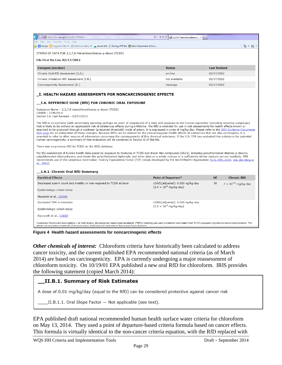|                                                                                                                                                                                                                                                                                                                                                                                                                                                                                                                                                                                                                                                                                                                                                                                                                                                                                                       | $X \cup \mathbb{Z}$ - Q<br>US 2,3,7,8-Tetrachlorodibenzo- |                     |                               |
|-------------------------------------------------------------------------------------------------------------------------------------------------------------------------------------------------------------------------------------------------------------------------------------------------------------------------------------------------------------------------------------------------------------------------------------------------------------------------------------------------------------------------------------------------------------------------------------------------------------------------------------------------------------------------------------------------------------------------------------------------------------------------------------------------------------------------------------------------------------------------------------------------------|-----------------------------------------------------------|---------------------|-------------------------------|
| Edit View Favorites Tools Help                                                                                                                                                                                                                                                                                                                                                                                                                                                                                                                                                                                                                                                                                                                                                                                                                                                                        |                                                           |                     |                               |
| S Google is uggested Sites v <sup>2</sup> Web Slice Gallery v A Access WA <sup>2</sup> Ecology FTP Site a Idaho Department of Envi                                                                                                                                                                                                                                                                                                                                                                                                                                                                                                                                                                                                                                                                                                                                                                    |                                                           |                     | € 16                          |
| STATUS OF DATA FOR 2,3,7,8-Tetrachlorodibenzo-p-dioxin (TCDD)                                                                                                                                                                                                                                                                                                                                                                                                                                                                                                                                                                                                                                                                                                                                                                                                                                         |                                                           |                     |                               |
| <b>File First On-Line 02/17/2012</b>                                                                                                                                                                                                                                                                                                                                                                                                                                                                                                                                                                                                                                                                                                                                                                                                                                                                  |                                                           |                     |                               |
| <b>Category (section)</b>                                                                                                                                                                                                                                                                                                                                                                                                                                                                                                                                                                                                                                                                                                                                                                                                                                                                             | <b>Status</b>                                             | <b>Last Revised</b> |                               |
| Chronic Oral RfD Assessment (I.A.)                                                                                                                                                                                                                                                                                                                                                                                                                                                                                                                                                                                                                                                                                                                                                                                                                                                                    | on-line                                                   | 02/17/2012          |                               |
| Chronic Inhalation RfC Assessment (I.B.)                                                                                                                                                                                                                                                                                                                                                                                                                                                                                                                                                                                                                                                                                                                                                                                                                                                              | not available                                             | 02/17/2012          |                               |
| Carcinogenicity Assessment (II.)                                                                                                                                                                                                                                                                                                                                                                                                                                                                                                                                                                                                                                                                                                                                                                                                                                                                      | message                                                   | 02/17/2012          |                               |
| _I.A. REFERENCE DOSE (RfD) FOR CHRONIC ORAL EXPOSURE<br>Substance Name - 2,3,7,8-tetrachlorodibenzo-p-dioxin (TCDD)<br>CASRN - 1746-01-6<br>Section I.A. Last Revised - 02/17/2012<br>The RfD is an estimate (with uncertainty spanning perhaps an order of magnitude) of a daily oral exposure to the human population (including sensitive subgroups)<br>that is likely to be without an appreciable risk of deleterious effects during a lifetime. The RfD is intended for use in risk assessments for health effects known or<br>assumed to be produced through a nonlinear (presumed threshold) mode of action. It is expressed in units of mg/kg-day. Please refer to the IRIS Guidance Documents<br>Web page for an elaboration of these concepts. Because RfDs can be derived for the noncarcinogenic health effects of substances that are also carcinogens, it is                           |                                                           |                     |                               |
| essential to refer to other sources of information concerning the carcinogenicity of this chemical substance. If the U.S. EPA has evaluated this substance for potential<br>human carcinogenicity, a summary of that evaluation will be contained in Section II of this file.<br>There was no previous RfD for TCDD on the IRIS database.<br>For the assessment of human health risks posed by exposure to mixtures of TCDD and dioxin-like compounds (DLCs), including polychlorinated dibenzo-p-dioxins,<br>polychlorinated dibenzofurans, and dioxin-like polychlorinated biphenyls, and when data on a whole mixture or a sufficiently similar mixture are not available, EPA<br>recommends use of the consensus mammalian Toxicity Equivalence Factor (TEF) values developed by the World Health Organization (U.S. EPA, 2010; Van den Berg et<br>al., 2006).<br>L.A.1. Chronic Oral RfD Summary |                                                           |                     |                               |
|                                                                                                                                                                                                                                                                                                                                                                                                                                                                                                                                                                                                                                                                                                                                                                                                                                                                                                       | <b>Point of Departure*</b>                                | <b>UF</b>           | <b>Chronic RfD</b>            |
|                                                                                                                                                                                                                                                                                                                                                                                                                                                                                                                                                                                                                                                                                                                                                                                                                                                                                                       | LOAEL[adjusted]: 0.020 ng/kg-day                          | 30                  | $7 \times 10^{-10}$ mg/kg-day |
|                                                                                                                                                                                                                                                                                                                                                                                                                                                                                                                                                                                                                                                                                                                                                                                                                                                                                                       | $(2.0 \times 10^{-8} \text{ mg/kg-day})$                  |                     |                               |
|                                                                                                                                                                                                                                                                                                                                                                                                                                                                                                                                                                                                                                                                                                                                                                                                                                                                                                       |                                                           |                     |                               |
|                                                                                                                                                                                                                                                                                                                                                                                                                                                                                                                                                                                                                                                                                                                                                                                                                                                                                                       | LOAEL[adjusted]: 0.020 ng/kg-day                          |                     |                               |
| <b>Cocritical Effects</b><br>Decreased sperm count and motility in men exposed to TCDD as boys<br>Epidemiologic cohort study<br>Mocarelli et al., (2008)<br>Increased TSH in neonates<br>Epidemiologic cohort study                                                                                                                                                                                                                                                                                                                                                                                                                                                                                                                                                                                                                                                                                   | $(2.0 \times 10^{-8} \text{ mg/kg-day})$                  |                     |                               |

<span id="page-34-0"></span>**Figure 4 Health hazard assessments for noncarcinogenic effects**

*Other chemicals of interest:* Chloroform criteria have historically been calculated to address cancer toxicity, and the current published EPA recommended national criteria (as of March 2014) are based on carcinogenicity. EPA is currently undergoing a major reassessment of chloroform toxicity. On 10/19/01 EPA published a new oral RfD for chloroform. IRIS provides the following statement (copied March 2014):

#### II.B.1. Summary of Risk Estimates

A dose of 0.01 mg/kg/day (equal to the RfD) can be considered protective against cancer risk

 $III.B.1.1.$  Oral Slope Factor  $-$  Not applicable (see text).

EPA published draft national recommended human health surface water criteria for chloroform on May 13, 2014. They used a point of departure-based criteria formula based on cancer effects. This formula is virtually identical to the non-cancer criteria equation, with the RfD replaced with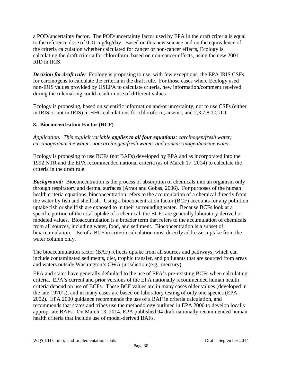a POD/uncertainty factor. The POD/uncertainty factor used by EPA in the draft criteria is equal to the reference dose of 0.01 mg/kg/day. Based on this new science and on the equivalence of the criteria calculation whether calculated for cancer or non-cancer effects, Ecology is calculating the draft criteria for chloroform, based on non-cancer effects, using the new 2001 RfD in IRIS.

*Decision for draft rule:* Ecology is proposing to use, with few exceptions, the EPA IRIS CSFs for carcinogens to calculate the criteria in the draft rule. For those cases where Ecology used non-IRIS values provided by USEPA to calculate criteria, new information/comment received during the rulemaking could result in use of different values.

Ecology is proposing, based on scientific information and/or uncertainty, not to use CSFs (either in IRIS or not in IRIS) in HHC calculations for chloroform, arsenic, and 2,3,7,8-TCDD.

### **8. Bioconcentration Factor (BCF)**

*Application: This explicit variable applies to all four equations: carcinogen/fresh water; carcinogen/marine water; noncarcinogen/fresh water; and noncarcinogen/marine water.*

Ecology is proposing to use BCFs (not BAFs) developed by EPA and as incorporated into the 1992 NTR and the EPA recommended national criteria (as of March 17, 2014) to calculate the criteria in the draft rule.

**Background:** Bioconcentration is the process of absorption of chemicals into an organism only through respiratory and dermal surfaces (Arnot and Gobas, 2006). For purposes of the human health criteria equations, bioconcentration refers to the accumulation of a chemical directly from the water by fish and shellfish. Using a bioconcentration factor (BCF) accounts for any pollution uptake fish or shellfish are exposed to in their surrounding water. Because BCFs look at a specific portion of the total uptake of a chemical, the BCFs are generally laboratory-derived or modeled values. Bioaccumulation is a broader term that refers to the accumulation of chemicals from all sources, including water, food, and sediment. Bioconcentration is a subset of bioaccumulation. Use of a BCF in criteria calculation most directly addresses uptake from the water column only.

The bioaccumulation factor (BAF) reflects uptake from all sources and pathways, which can include contaminated sediments, diet, trophic transfer, and pollutants that are sourced from areas and waters outside Washington's CWA jurisdiction (e.g., mercury).

EPA and states have generally defaulted to the use of EPA's pre-existing BCFs when calculating criteria. EPA's current and prior versions of the EPA nationally recommended human health criteria depend on use of BCFs. These BCF values are in many cases older values (developed in the late 1970's), and in many cases are based on laboratory testing of only one species (EPA 2002). EPA 2000 guidance recommends the use of a BAF in criteria calculation, and recommends that states and tribes use the methodology outlined in EPA 2000 to develop locally appropriate BAFs. On March 13, 2014, EPA published 94 draft nationally recommended human health criteria that include use of model-derived BAFs.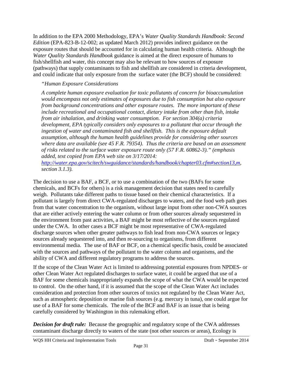In addition to the EPA 2000 Methodology, EPA's *Water Quality Standards Handbook: Second Edition* (EPA-823-B-12-002; as updated March 2012) provides indirect guidance on the exposure routes that should be accounted for in calculating human health criteria. Although the *Water Quality Standards Handbook* guidance is aimed at the direct exposure of humans to fish/shellfish and water, this concept may also be relevant to how sources of exposure (pathways) that supply contaminants to fish and shellfish are considered in criteria development, and could indicate that only exposure from the surface water (the BCF) should be considered:

#### *"Human Exposure Considerations*

*A complete human exposure evaluation for toxic pollutants of concern for bioaccumulation would encompass not only estimates of exposures due to fish consumption but also exposure from background concentrations and other exposure routes. The more important of these include recreational and occupational contact, dietary intake from other than fish, intake from air inhalation, and drinking water consumption. For section 304(a) criteria development, EPA typically considers only exposures to a pollutant that occur through the ingestion of water and contaminated fish and shellfish. This is the exposure default assumption, although the human health guidelines provide for considering other sources where data are available (see 45 F.R. 79354). Thus the criteria are based on an assessment of risks related to the surface water exposure route only (57 F.R. 60862-3)." (emphasis added, text copied from EPA web site on 3/17/2014:* 

*[http://water.epa.gov/scitech/swguidance/standards/handbook/chapter03.cfm#section13,m,](http://water.epa.gov/scitech/swguidance/standards/handbook/chapter03.cfm#section13,m) section 3.1.3).*

The decision to use a BAF, a BCF, or to use a combination of the two (BAFs for some chemicals, and BCFs for others) is a risk management decision that states need to carefully weigh. Pollutants take different paths to tissue based on their chemical characteristics. If a pollutant is largely from direct CWA-regulated discharges to waters, and the food web path goes from that water concentration to the organism, without large input from other non-CWA sources that are either actively entering the water column or from other sources already sequestered in the environment from past activities, a BAF might be most reflective of the sources regulated under the CWA. In other cases a BCF might be most representative of CWA-regulated discharge sources when other greater pathways to fish lead from non-CWA sources or legacy sources already sequestered into, and then re-sourcing to organisms, from different environmental media. The use of BAF or BCF, on a chemical specific basis, could be associated with the sources and pathways of the pollutant to the water column and organisms, and the ability of CWA and different regulatory programs to address the sources.

If the scope of the Clean Water Act is limited to addressing potential exposures from NPDES- or other Clean Water Act regulated discharges to surface water, it could be argued that use of a BAF for some chemicals inappropriately expands the scope of what the CWA would be expected to control. On the other hand, if it is assumed that the scope of the Clean Water Act includes consideration and protection from other sources of toxics not regulated by the Clean Water Act, such as atmospheric deposition or marine fish sources (e.g. mercury in tuna), one could argue for use of a BAF for some chemicals. The role of the BCF and BAF is an issue that is being carefully considered by Washington in this rulemaking effort.

*Decision for draft rule:* Because the geographic and regulatory scope of the CWA addresses contaminant discharge directly to waters of the state (not other sources or areas), Ecology is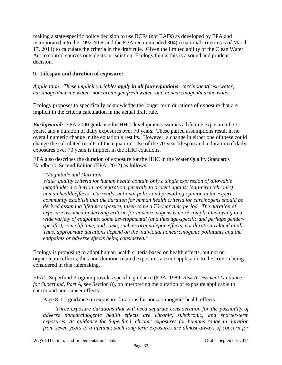making a state-specific policy decision to use BCFs (not BAFs) as developed by EPA and incorporated into the 1992 NTR and the EPA recommended 304(a) national criteria (as of March 17, 2014) to calculate the criteria in the draft rule. Given the limited ability of the Clean Water Act to control sources outside its jurisdiction, Ecology thinks this is a sound and prudent decision.

#### **9. Lifespan and duration of exposure:**

*Application: These implicit variables apply in all four equations: carcinogen/fresh water; carcinogen/marine water; noncarcinogen/fresh water; and noncarcinogen/marine water.*

Ecology proposes to specifically acknowledge the longer term durations of exposure that are implicit in the criteria calculation in the actual draft rule.

*Background:* EPA 2000 guidance for HHC development assumes a lifetime exposure of 70 years, and a duration of daily exposures over 70 years. These paired assumptions result in no overall numeric change in the equation's results. However, a change in either one of these could change the calculated results of the equation. Use of the 70-year lifespan and a duration of daily exposures over 70 years is implicit in the HHC equations.

EPA also describes the duration of exposure for the HHC in the Water Quality Standards Handbook, Second Edition (EPA, 2012) as follows:

#### *"Magnitude and Duration*

*Water quality criteria for human health contain only a single expression of allowable magnitude; a criterion concentration generally to protect against long-term (chronic) human health effects. Currently, national policy and prevailing opinion in the expert community establish that the duration for human health criteria for carcinogens should be derived assuming lifetime exposure, taken to be a 70-year time period. The duration of exposure assumed in deriving criteria for noncarcinogens is more complicated owing to a wide variety of endpoints: some developmental (and thus age-specific and perhaps genderspecific), some lifetime, and some, such as organoleptic effects, not duration-related at all. Thus, appropriate durations depend on the individual noncarcinogenic pollutants and the endpoints or adverse effects being considered."*

Ecology is proposing to adopt human health criteria based on health effects, but not on organoleptic effects, thus non-duration related exposures are not applicable to the criteria being considered in this rulemaking.

EPA's Superfund Program provides specific guidance (EPA, 1989; *Risk Assessment Guidance for Superfund, Part A,* see Section 8)*,* on interpreting the duration of exposure applicable to cancer and non-cancer effects:

Page 8-11, guidance on exposure durations for noncarcinogenic health effects:

*"Three exposure durations that will need separate consideration for the possibility of adverse noncarcinogenic health effects are chronic, subchronic, and shorter-term exposures. As guidance for Superfund, chronic exposures for humans range in duration from seven years to a lifetime; such long-term exposures are almost always of concern for*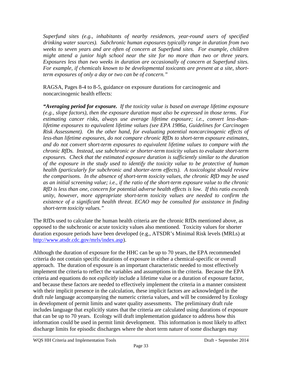*Superfund sites (e.g., inhabitants of nearby residences, year-round users of specified drinking water sources). Subchronic human exposures typically range in duration from two weeks to seven years and are often of concern at Superfund sites. For example, children might attend a junior high school near the site for no more than two or three years. Exposures less than two weeks in duration are occasionally of concern at Superfund sites. For example, if chemicals known to be developmental toxicants are present at a site, shortterm exposures of only a day or two can be of concern."*

RAGSA, Pages 8-4 to 8-5, guidance on exposure durations for carcinogenic and noncarcinogenic health effects:

*"Averaging period for exposure. If the toxicity value is based on average lifetime exposure (e.g., slope factors), then the exposure duration must also be expressed in those terms. For estimating cancer risks, always use average lifetime exposure; i.e., convert less-thanlifetime exposures to equivalent lifetime values (see EPA 1986a, Guidelines for Carcinogen Risk Assessment). On the other hand, for evaluating potential noncarcinogenic effects of less-than lifetime exposures, do not compare chronic RfDs to short-term exposure estimates, and do not convert short-term exposures to equivalent lifetime values to compare with the chronic RfDs. Instead, use subchronic or shorter-term toxicity values to evaluate short-term exposures. Check that the estimated exposure duration is sufficiently similar to the duration of the exposure in the study used to identify the toxicity value to be protective of human health (particularly for subchronic and shorter-term effects). A toxicologist should review the comparisons. In the absence of short-term toxicity values, the chronic RfD may be used as an initial screening value; i.e., if the ratio of the short-term exposure value to the chronic RfD is less than one, concern for potential adverse health effects is low. If this ratio exceeds unity, however, more appropriate short-term toxicity values are needed to confirm the existence of a significant health threat. ECAO may be consulted for assistance in finding short-term toxicity values."*

The RfDs used to calculate the human health criteria are the chronic RfDs mentioned above, as opposed to the subchronic or acute toxicity values also mentioned. Toxicity values for shorter duration exposure periods have been developed (e.g., ATSDR's Minimal Risk levels (MRLs) at [http://www.atsdr.cdc.gov/mrls/index.asp\)](http://www.atsdr.cdc.gov/mrls/index.asp).

Although the duration of exposure for the HHC can be up to 70 years, the EPA recommended criteria do not contain specific durations of exposure in either a chemical-specific or overall approach. The duration of exposure is an important characteristic needed to most effectively implement the criteria to reflect the variables and assumptions in the criteria. Because the EPA criteria and equations do not *explicitly* include a lifetime value or a duration of exposure factor, and because these factors are needed to effectively implement the criteria in a manner consistent with their implicit presence in the calculation, these implicit factors are acknowledged in the draft rule language accompanying the numeric criteria values, and will be considered by Ecology in development of permit limits and water quality assessments. The preliminary draft rule includes language that explicitly states that the criteria are calculated using durations of exposure that can be up to 70 years. Ecology will draft implementation guidance to address how this information could be used in permit limit development. This information is most likely to affect discharge limits for episodic discharges where the short term nature of some discharges may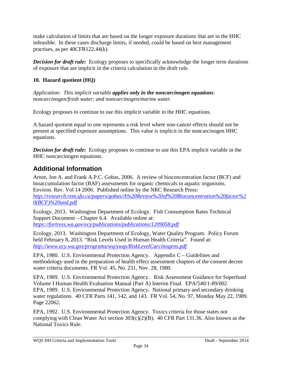make calculation of limits that are based on the longer exposure durations that are in the HHC infeasible. In these cases discharge limits, if needed, could be based on best management practises, as per 40CFR122.44(k).

*Decision for draft rule:* Ecology proposes to specifically acknowledge the longer term durations of exposure that are implicit in the criteria calculation in the draft rule.

#### **10. Hazard quotient (HQ)**

*Application: This implicit variable applies only in the noncarcinogen equations: noncarcinogen/fresh water; and noncarcinogen/marine water.*

Ecology proposes to continue to use this implicit variable in the HHC equations.

A hazard quotient equal to one represents a risk level where non-cancer effects should not be present at specified exposure assumptions. This value is implicit in the noncarcinogen HHC equations.

*Decision for draft rule:* Ecology proposes to continue to use this EPA implicit variable in the HHC noncarcinogen equations.

### **Additional Information**

Arnot, Jon A. and Frank A.P.C. Gobas, 2006. A review of bioconcentration factor (BCF) and bioaccumulation factor (BAF) assessments for organic chemicals in aquatic organisms. Environ. Rev. Vol 14 2006. Published online by the NRC Research Press: *[http://research.rem.sfu.ca/papers/gobas/A%20Review%20of%20Bioconcentration%20factor%2](http://research.rem.sfu.ca/papers/gobas/A%20Review%20of%20Bioconcentration%20factor%20(BCF)%20and.pdf) [0\(BCF\)%20and.pdf](http://research.rem.sfu.ca/papers/gobas/A%20Review%20of%20Bioconcentration%20factor%20(BCF)%20and.pdf)*

Ecology, 2013. Washington Department of Ecology. Fish Consumption Rates Technical Support Document – Chapter 6.4. Available online at: *<https://fortress.wa.gov/ecy/publications/publications/1209058.pdf>*

Ecology, 2013. Washington Department of Ecology, Water Quality Program. Policy Forum held February 8, 2013. "Risk Levels Used in Human Health Criteria". Found at: *<http://www.ecy.wa.gov/programs/wq/swqs/RiskLevelCarcinogens.pdf>*

EPA, 1980. U.S. Environmental Protection Agency. Appendix C – Guidelines and methodology used in the preparation of health effect assessment chapters of the consent decree water criteria documents. FR Vol. 45, No. 231, Nov. 28, 1980.

EPA, 1989. U.S. Environmental Protection Agency. Risk Assessment Guidance for Superfund Volume I Human Health Evaluation Manual (Part A) Interim Final. EPA/540/1-89/002 EPA, 1989. U.S. Environmental Protection Agency. National primary and secondary drinking water regulations. 40 CFR Parts 141, 142, and 143. FR Vol. 54, No. 97, Monday May 22, 1989. Page 22062.

EPA, 1992. U.S. Environmental Protection Agency. Toxics criteria for those states not complying with Clean Water Act section 303(c)(2)(B). 40 CFR Part 131.36. Also known as the National Toxics Rule.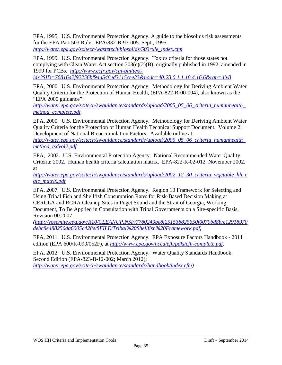EPA, 1995. U.S. Environmental Protection Agency. A guide to the biosolids risk assessments for the EPA Part 503 Rule. EPA/832-B-93-005. Sept., 1995. *[http://water.epa.gov/scitech/wastetech/biosolids/503rule\\_index.cfm](http://water.epa.gov/scitech/wastetech/biosolids/503rule_index.cfm)* 

EPA, 1999. U.S. Environmental Protection Agency. Toxics criteria for those states not complying with Clean Water Act section 303(c)(2)(B), originally published in 1992, amended in 1999 for PCBs. *[http://www.ecfr.gov/cgi-bin/text-](http://www.ecfr.gov/cgi-bin/text-idx?SID=76816a2f92256bf94a548ed3115cee23&node=40:23.0.1.1.18.4.16.6&rgn=div8)*

*[idx?SID=76816a2f92256bf94a548ed3115cee23&node=40:23.0.1.1.18.4.16.6&rgn=div8](http://www.ecfr.gov/cgi-bin/text-idx?SID=76816a2f92256bf94a548ed3115cee23&node=40:23.0.1.1.18.4.16.6&rgn=div8)*

EPA, 2000. U.S. Environmental Protection Agency. Methodology for Deriving Ambient Water Quality Criteria for the Protection of Human Health, (EPA-822-R-00-004), also known as the "EPA 2000 guidance":

*[http://water.epa.gov/scitech/swguidance/standards/upload/2005\\_05\\_06\\_criteria\\_humanhealth\\_](http://water.epa.gov/scitech/swguidance/standards/upload/2005_05_06_criteria_humanhealth_method_complete.pdf) [method\\_complete.pdf.](http://water.epa.gov/scitech/swguidance/standards/upload/2005_05_06_criteria_humanhealth_method_complete.pdf)* 

EPA, 2000. U.S. Environmental Protection Agency. Methodology for Deriving Ambient Water Quality Criteria for the Protection of Human Health Technical Support Document. Volume 2: Development of National Bioaccumulation Factors. Available online at:

*[http://water.epa.gov/scitech/swguidance/standards/upload/2005\\_05\\_06\\_criteria\\_humanhealth\\_](http://water.epa.gov/scitech/swguidance/standards/upload/2005_05_06_criteria_humanhealth_method_tsdvol2.pdf) [method\\_tsdvol2.pdf](http://water.epa.gov/scitech/swguidance/standards/upload/2005_05_06_criteria_humanhealth_method_tsdvol2.pdf)*

EPA, 2002. U.S. Environmental Protection Agency. National Recommended Water Quality Criteria: 2002. Human health criteria calculation matrix. EPA-822-R-02-012. November 2002. at

*[http://water.epa.gov/scitech/swguidance/standards/upload/2002\\_12\\_30\\_criteria\\_wqctable\\_hh\\_c](http://water.epa.gov/scitech/swguidance/standards/upload/2002_12_30_criteria_wqctable_hh_calc_matrix.pdf) [alc\\_matrix.pdf](http://water.epa.gov/scitech/swguidance/standards/upload/2002_12_30_criteria_wqctable_hh_calc_matrix.pdf)*

EPA, 2007. U.S. Environmental Protection Agency. Region 10 Framework for Selecting and Using Tribal Fish and Shellfish Consumption Rates for Risk-Based Decision Making at CERCLA and RCRA Cleanup Sites in Puget Sound and the Strait of Georgia, Working Document, To Be Applied in Consultation with Tribal Governments on a Site-specific Basis, Revision 00.2007

*[\(http://yosemite.epa.gov/R10/CLEANUP.NSF/7780249be8f251538825650f0070bd8b/e12918970](http://yosemite.epa.gov/R10/CLEANUP.NSF/7780249be8f251538825650f0070bd8b/e12918970debc8e488256da6005c428e/$FILE/Tribal%20Shellfish%20Framework.pdf) [debc8e488256da6005c428e/\\$FILE/Tribal%20Shellfish%20Framework.pdf,](http://yosemite.epa.gov/R10/CLEANUP.NSF/7780249be8f251538825650f0070bd8b/e12918970debc8e488256da6005c428e/$FILE/Tribal%20Shellfish%20Framework.pdf)*

EPA, 2011. U.S. Environmental Protection Agency. EPA Exposure Factors Handbook - 2011 edition (EPA 600/R-090/052F), at *[http://www.epa.gov/ncea/efh/pdfs/efh-complete.pdf.](http://www.epa.gov/ncea/efh/pdfs/efh-complete.pdf)*

EPA, 2012. U.S. Environmental Protection Agency. Water Quality Standards Handbook: Second Edition (EPA-823-B-12-002; March 2012);

*[http://water.epa.gov/scitech/swguidance/standards/handbook/index.cfm\)](http://water.epa.gov/scitech/swguidance/standards/handbook/index.cfm)*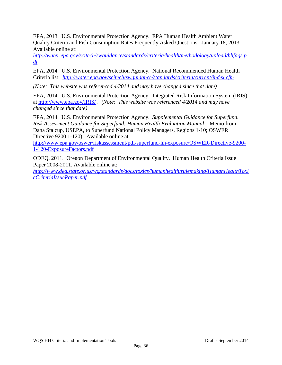EPA, 2013. U.S. Environmental Protection Agency. EPA Human Health Ambient Water Quality Criteria and Fish Consumption Rates Frequently Asked Questions. January 18, 2013. Available online at:

*[http://water.epa.gov/scitech/swguidance/standards/criteria/health/methodology/upload/hhfaqs.p](http://water.epa.gov/scitech/swguidance/standards/criteria/health/methodology/upload/hhfaqs.pdf) [df](http://water.epa.gov/scitech/swguidance/standards/criteria/health/methodology/upload/hhfaqs.pdf)*

EPA, 2014. U.S. Environmental Protection Agency. National Recommended Human Health Criteria list: *<http://water.epa.gov/scitech/swguidance/standards/criteria/current/index.cfm>*

*(Note: This website was referenced 4/2014 and may have changed since that date)*

EPA, 2014. U.S. Environmental Protection Agency. Integrated Risk Information System (IRIS), at<http://www.epa.gov/IRIS/> . *(Note: This website was referenced 4/2014 and may have changed since that date)*

EPA, 2014. U.S. Environmental Protection Agency. *Supplemental Guidance for Superfund. Risk Assessment Guidance for Superfund: Human Health Evaluation Manual*. Memo from Dana Stalcup, USEPA, to Superfund National Policy Managers, Regions 1-10; OSWER Directive 9200.1-120). Available online at:

[http://www.epa.gov/oswer/riskassessment/pdf/superfund-hh-exposure/OSWER-Directive-9200-](http://www.epa.gov/oswer/riskassessment/pdf/superfund-hh-exposure/OSWER-Directive-9200-1-120-ExposureFactors.pdf) [1-120-ExposureFactors.pdf](http://www.epa.gov/oswer/riskassessment/pdf/superfund-hh-exposure/OSWER-Directive-9200-1-120-ExposureFactors.pdf)

ODEQ, 2011. Oregon Department of Environmental Quality. Human Health Criteria Issue Paper 2008-2011. Available online at:

*[http://www.deq.state.or.us/wq/standards/docs/toxics/humanhealth/rulemaking/HumanHealthToxi](http://www.deq.state.or.us/wq/standards/docs/toxics/humanhealth/rulemaking/HumanHealthToxicCriteriaIssuePaper.pdf) [cCriteriaIssuePaper.pdf](http://www.deq.state.or.us/wq/standards/docs/toxics/humanhealth/rulemaking/HumanHealthToxicCriteriaIssuePaper.pdf)*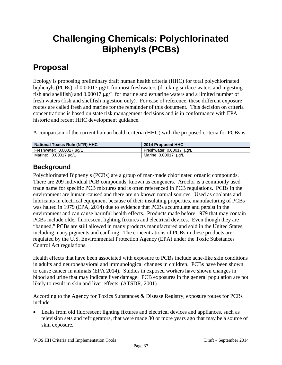# **Challenging Chemicals: Polychlorinated Biphenyls (PCBs)**

# **Proposal**

Ecology is proposing preliminary draft human health criteria (HHC) for total polychlorinated biphenyls (PCBs) of 0.00017 µg/L for most freshwaters (drinking surface waters and ingesting fish and shellfish) and 0.00017 µg/L for marine and estuarine waters and a limited number of fresh waters (fish and shellfish ingestion only). For ease of reference, these different exposure routes are called fresh and marine for the remainder of this document. This decision on criteria concentrations is based on state risk management decisions and is in conformance with EPA historic and recent HHC development guidance.

A comparison of the current human health criteria (HHC) with the proposed criteria for PCBs is:

| <b>National Toxics Rule (NTR) HHC</b> | 2014 Proposed HHC          |
|---------------------------------------|----------------------------|
| Freshwater: 0.00017 ug/L              | Freshwater: $0.00017$ µg/L |
| Marine: 0.00017 ug/L                  | Marine: 0.00017 ug/L       |

### **Background**

Polychlorinated Biphenyls (PCBs) are a group of man-made chlorinated organic compounds. There are 209 individual PCB compounds, known as congeners. Aroclor is a commonly used trade name for specific PCB mixtures and is often referenced in PCB regulations. PCBs in the environment are human-caused and there are no known natural sources. Used as coolants and lubricants in electrical equipment because of their insulating properties, manufacturing of PCBs was halted in 1979 (EPA, 2014) due to evidence that PCBs accumulate and persist in the environment and can cause harmful health effects. Products made before 1979 that may contain PCBs include older fluorescent lighting fixtures and electrical devices. Even though they are "banned," PCBs are still allowed in many products manufactured and sold in the United States, including many pigments and caulking. The concentrations of PCBs in these products are regulated by the U.S. Environmental Protection Agency (EPA) under the Toxic Substances Control Act regulations.

Health effects that have been associated with exposure to PCBs include acne-like skin conditions in adults and neurobehavioral and immunological changes in children. PCBs have been shown to cause cancer in animals (EPA 2014). Studies in exposed workers have shown changes in blood and urine that may indicate liver damage. PCB exposures in the general population are not likely to result in skin and liver effects. (ATSDR, 2001)

According to the Agency for Toxics Substances & Disease Registry, exposure routes for PCBs include:

• Leaks from old fluorescent lighting fixtures and electrical devices and appliances, such as television sets and refrigerators, that were made 30 or more years ago that may be a source of skin exposure.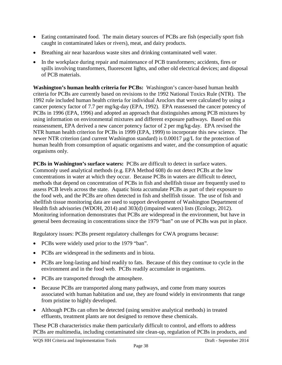- Eating contaminated food. The main dietary sources of PCBs are fish (especially sport fish caught in contaminated lakes or rivers), meat, and dairy products.
- Breathing air near hazardous waste sites and drinking contaminated well water.
- In the workplace during repair and maintenance of PCB transformers; accidents, fires or spills involving transformers, fluorescent lights, and other old electrical devices; and disposal of PCB materials.

**Washington's human health criteria for PCBs:** Washington's cancer-based human health criteria for PCBs are currently based on revisions to the 1992 National Toxics Rule (NTR). The 1992 rule included human health criteria for individual Aroclors that were calculated by using a cancer potency factor of 7.7 per mg/kg-day (EPA, 1992). EPA reassessed the cancer potency of PCBs in 1996 (EPA, 1996) and adopted an approach that distinguishes among PCB mixtures by using information on environmental mixtures and different exposure pathways. Based on this reassessment, EPA derived a new cancer potency factor of 2 per mg/kg-day. EPA revised the NTR human health criterion for PCBs in 1999 (EPA, 1999) to incorporate this new science. The newer NTR criterion (and current Washington standard) is 0.00017 µg/L for the protection of human health from consumption of aquatic organisms and water, and the consumption of aquatic organisms only.

**PCBs in Washington's surface waters:** PCBs are difficult to detect in surface waters. Commonly used analytical methods (e.g. EPA Method 608) do not detect PCBs at the low concentrations in water at which they occur. Because PCBs in waters are difficult to detect, methods that depend on concentration of PCBs in fish and shellfish tissue are frequently used to assess PCB levels across the state. Aquatic biota accumulate PCBs as part of their exposure to the food web, and the PCBs are often detected in fish and shellfish tissue. The use of fish and shellfish tissue monitoring data are used to support development of Washington Department of Health fish advisories (WDOH, 2014) and 303(d) (impaired waters) lists (Ecology, 2012). Monitoring information demonstrates that PCBs are widespread in the environment, but have in general been decreasing in concentrations since the 1979 "ban" on use of PCBs was put in place.

Regulatory issues: PCBs present regulatory challenges for CWA programs because:

- PCBs were widely used prior to the 1979 "ban".
- PCBs are widespread in the sediments and in biota.
- PCBs are long-lasting and bind readily to fats. Because of this they continue to cycle in the environment and in the food web. PCBs readily accumulate in organisms.
- PCBs are transported through the atmosphere.
- Because PCBs are transported along many pathways, and come from many sources associated with human habitation and use, they are found widely in environments that range from pristine to highly developed.
- Although PCBs can often be detected (using sensitive analytical methods) in treated effluents, treatment plants are not designed to remove these chemicals.

These PCB characteristics make them particularly difficult to control, and efforts to address PCBs are multimedia, including contaminated site clean-up, regulation of PCBs in products, and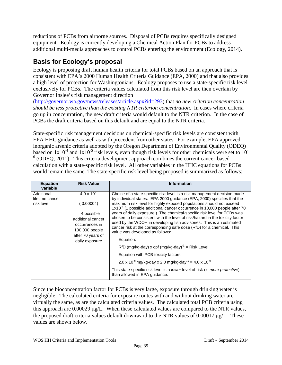reductions of PCBs from airborne sources. Disposal of PCBs requires specifically designed equipment. Ecology is currently developing a Chemical Action Plan for PCBs to address additional multi-media approaches to control PCBs entering the environment (Ecology, 2014).

## **Basis for Ecology's proposal**

Ecology is proposing draft human health criteria for total PCBs based on an approach that is consistent with EPA's 2000 Human Health Criteria Guidance (EPA, 2000) and that also provides a high level of protection for Washingtonians. Ecology proposes to use a state-specific risk level exclusively for PCBs. The criteria values calculated from this risk level are then overlain by Governor Inslee's risk management direction

[\(http://governor.wa.gov/news/releases/article.aspx?id=293\)](http://governor.wa.gov/news/releases/article.aspx?id=293) that *no new criterion concentration should be less protective than the existing NTR criterion concentration*. In cases where criteria go up in concentration, the new draft criteria would default to the NTR criterion. In the case of PCBs the draft criteria based on this default and are equal to the NTR criteria.

State-specific risk management decisions on chemical-specific risk levels are consistent with EPA HHC guidance as well as with precedent from other states. For example, EPA approved inorganic arsenic criteria adopted by the Oregon Department of Environmental Quality (ODEQ) based on  $1x10^{-4}$  and  $1x10^{-5}$  risk levels, even though risk levels for other chemicals were set to 10<sup>-</sup>  $6$  (ODEO, 2011). This criteria development approach combines the current cancer-based calculation with a state-specific risk level. All other variables in the HHC equations for PCBs would remain the same. The state-specific risk level being proposed is summarized as follows:

| <b>Equation</b><br>variable                 | <b>Risk Value</b>                                                                                                                                  | <b>Information</b>                                                                                                                                                                                                                                                                                                                                                                                                                                                                                                                                                                                                                                                                                                                                                                                                                                                                                                                                                                                   |
|---------------------------------------------|----------------------------------------------------------------------------------------------------------------------------------------------------|------------------------------------------------------------------------------------------------------------------------------------------------------------------------------------------------------------------------------------------------------------------------------------------------------------------------------------------------------------------------------------------------------------------------------------------------------------------------------------------------------------------------------------------------------------------------------------------------------------------------------------------------------------------------------------------------------------------------------------------------------------------------------------------------------------------------------------------------------------------------------------------------------------------------------------------------------------------------------------------------------|
| Additional<br>lifetime cancer<br>risk level | $4.0 \times 10^{-5}$<br>0.00004)<br>$= 4$ possible<br>additional cancer<br>occurrences in<br>100,000 people<br>after 70 years of<br>daily exposure | Choice of a state-specific risk level is a risk management decision made<br>by individual states. EPA 2000 guidance (EPA, 2000) specifies that the<br>maximum risk level for highly exposed populations should not exceed<br>$1x10-4$ (1 possible additional cancer occurrence in 10,000 people after 70<br>years of daily exposure.) The chemical-specific risk level for PCBs was<br>chosen to be consistent with the level of risk/hazard in the toxicity factor<br>used by the WDOH in developing fish advisories. This is an estimated<br>cancer risk at the corresponding safe dose (RfD) for a chemical. This<br>value was developed as follows:<br>Equation:<br>RfD (mg/kg-day) x cpf (mg/kg-day) <sup>-1</sup> = Risk Level<br>Equation with PCB toxicity factors:<br>$2.0 \times 10^{-5}$ mg/kg-day x 2.0 mg/kg-day <sup>-1</sup> = 4.0 x 10 <sup>-5</sup><br>This state-specific risk level is a <i>lower</i> level of risk (is <i>more protective</i> )<br>than allowed in EPA guidance. |

Since the bioconcentration factor for PCBs is very large, exposure through drinking water is negligible. The calculated criteria for exposure routes with and without drinking water are virtually the same, as are the calculated criteria values. The calculated total PCB criteria using this approach are 0.00029 µg/L. When these calculated values are compared to the NTR values, the proposed draft criteria values default downward to the NTR values of 0.00017 µg/L. These values are shown below.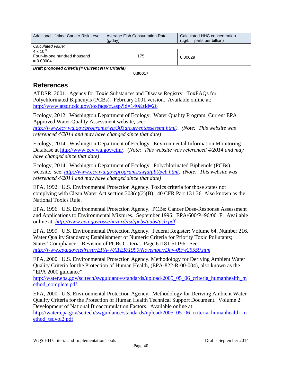| Additional lifetime Cancer Risk Level                             | Average Fish Consumption Rate<br>(g/day) | Calculated HHC concentration<br>$(\mu g/L =$ parts per billion) |  |  |
|-------------------------------------------------------------------|------------------------------------------|-----------------------------------------------------------------|--|--|
| Calculated value:                                                 |                                          |                                                                 |  |  |
| $4 \times 10^{-5}$<br>Four-in-one hundred thousand<br>$= 0.00004$ | 175                                      | 0.00029                                                         |  |  |
| Draft proposed criteria (= Current NTR Criteria)                  |                                          |                                                                 |  |  |
| 0.00017                                                           |                                          |                                                                 |  |  |

#### **References**

ATDSR, 2001. Agency for Toxic Substances and Disease Registry. ToxFAQs for Polychlorinated Biphenyls (PCBs). February 2001 version. Available online at: <http://www.atsdr.cdc.gov/toxfaqs/tf.asp?id=140&tid=26>

Ecology, 2012. Washington Department of Ecology. Water Quality Program, Current EPA Approved Water Quality Assessment website, see:

*[http://www.ecy.wa.gov/programs/wq/303d/currentassessmt.html\)](http://www.ecy.wa.gov/programs/wq/303d/currentassessmt.html). (Note: This website was referenced 4/2014 and may have changed since that date)*

Ecology, 2014. Washington Department of Ecology. Environmental Information Monitoring Database at [http://www.ecy.wa.gov/eim/.](http://www.ecy.wa.gov/eim/) *(Note: This website was referenced 4/2014 and may have changed since that date)*

Ecology, 2014. Washington Department of Ecology. Polychlorinated Biphenols (PCBs) website, see: *<http://www.ecy.wa.gov/programs/swfa/pbt/pcb.html>*. *(Note: This website was referenced 4/2014 and may have changed since that date)*

EPA, 1992. U.S. Environmental Protection Agency. Toxics criteria for those states not complying with Clean Water Act section 303(c)(2)(B). 40 CFR Part 131.36. Also known as the National Toxics Rule.

EPA, 1996. U.S. Environmental Protection Agency. PCBs: Cancer Dose-Response Assessment and Applications to Environmental Mixtures. September 1996. EPA/600/P–96/001F. Available online at: *<http://www.epa.gov/osw/hazard/tsd/pcbs/pubs/pcb.pdf>*

EPA, 1999. U.S. Environmental Protection Agency. Federal Register: Volume 64, Number 216. Water Quality Standards; Establishment of Numeric Criteria for Priority Toxic Pollutants; States' Compliance – Revision of PCBs Criteria. Page 61181-61196. See: *<http://www.epa.gov/fedrgstr/EPA-WATER/1999/November/Day-09/w25559.htm>*

EPA, 2000. U.S. Environmental Protection Agency. Methodology for Deriving Ambient Water Quality Criteria for the Protection of Human Health, (EPA-822-R-00-004), also known as the "EPA 2000 guidance":

[http://water.epa.gov/scitech/swguidance/standards/upload/2005\\_05\\_06\\_criteria\\_humanhealth\\_m](http://water.epa.gov/scitech/swguidance/standards/upload/2005_05_06_criteria_humanhealth_method_complete.pdf) [ethod\\_complete.pdf.](http://water.epa.gov/scitech/swguidance/standards/upload/2005_05_06_criteria_humanhealth_method_complete.pdf)

EPA, 2000. U.S. Environmental Protection Agency. Methodology for Deriving Ambient Water Quality Criteria for the Protection of Human Health Technical Support Document. Volume 2: Development of National Bioaccumulation Factors. Available online at:

[http://water.epa.gov/scitech/swguidance/standards/upload/2005\\_05\\_06\\_criteria\\_humanhealth\\_m](http://water.epa.gov/scitech/swguidance/standards/upload/2005_05_06_criteria_humanhealth_method_tsdvol2.pdf) [ethod\\_tsdvol2.pdf](http://water.epa.gov/scitech/swguidance/standards/upload/2005_05_06_criteria_humanhealth_method_tsdvol2.pdf)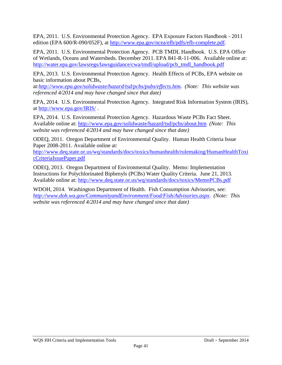EPA, 2011. U.S. Environmental Protection Agency. EPA Exposure Factors Handbook - 2011 edition (EPA 600/R-090/052F), at [http://www.epa.gov/ncea/efh/pdfs/efh-complete.pdf.](http://www.epa.gov/ncea/efh/pdfs/efh-complete.pdf)

EPA, 2011. U.S. Environmental Protection Agency. PCB TMDL Handbook. U.S. EPA Office of Wetlands, Oceans and Watersheds. December 2011. EPA 841-R-11-006. Available online at: [http://water.epa.gov/lawsregs/lawsguidance/cwa/tmdl/upload/pcb\\_tmdl\\_handbook.pdf](http://water.epa.gov/lawsregs/lawsguidance/cwa/tmdl/upload/pcb_tmdl_handbook.pdf) 

EPA, 2013. U.S. Environmental Protection Agency. Health Effects of PCBs, EPA website on basic information about PCBs,

at:*<http://www.epa.gov/solidwaste/hazard/tsd/pcbs/pubs/effects.htm>*. *(Note: This website was referenced 4/2014 and may have changed since that date)*

EPA, 2014. U.S. Environmental Protection Agency. Integrated Risk Information System (IRIS), at<http://www.epa.gov/IRIS/> .

EPA, 2014. U.S. Environmental Protection Agency. Hazardous Waste PCBs Fact Sheet. Available online at:<http://www.epa.gov/solidwaste/hazard/tsd/pcbs/about.htm>*(Note: This website was referenced 4/2014 and may have changed since that date)*

ODEQ, 2011. Oregon Department of Environmental Quality. Human Health Criteria Issue Paper 2008-2011. Available online at:

[http://www.deq.state.or.us/wq/standards/docs/toxics/humanhealth/rulemaking/HumanHealthToxi](http://www.deq.state.or.us/wq/standards/docs/toxics/humanhealth/rulemaking/HumanHealthToxicCriteriaIssuePaper.pdf) [cCriteriaIssuePaper.pdf](http://www.deq.state.or.us/wq/standards/docs/toxics/humanhealth/rulemaking/HumanHealthToxicCriteriaIssuePaper.pdf)

ODEQ, 2013. Oregon Department of Environmental Quality. Memo: Implementation Instructions for Polychlorinated Biphenyls (PCBs) Water Quality Criteria. June 21, 2013. Available online at:<http://www.deq.state.or.us/wq/standards/docs/toxics/MemoPCBs.pdf>

WDOH, 2014. Washington Department of Health. Fish Consumption Advisories, see: *<http://www.doh.wa.gov/CommunityandEnvironment/Food/Fish/Advisories.aspx>*. *(Note: This website was referenced 4/2014 and may have changed since that date)*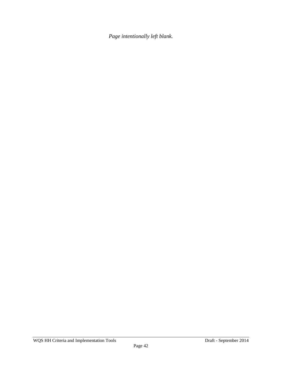*Page intentionally left blank.*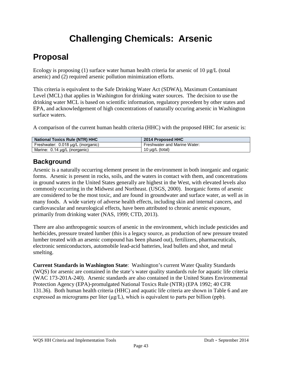# **Challenging Chemicals: Arsenic**

# **Proposal**

Ecology is proposing (1) surface water human health criteria for arsenic of 10  $\mu$ g/L (total arsenic) and (2) required arsenic pollution minimization efforts.

This criteria is equivalent to the Safe Drinking Water Act (SDWA), Maximum Contaminant Level (MCL) that applies in Washington for drinking water sources. The decision to use the drinking water MCL is based on scientific information, regulatory precedent by other states and EPA, and acknowledgement of high concentrations of naturally occuring arsenic in Washington surface waters.

A comparison of the current human health criteria (HHC) with the proposed HHC for arsenic is:

| <b>National Toxics Rule (NTR) HHC</b> | 2014 Proposed HHC            |
|---------------------------------------|------------------------------|
| Freshwater: 0.018 ug/L (inorganic)    | Freshwater and Marine Water: |
| Marine: 0.14 µg/L (inorganic)         | 10 $\mu$ g/L (total)         |

### **Background**

Arsenic is a naturally occurring element present in the environment in both inorganic and organic forms. Arsenic is present in rocks, soils, and the waters in contact with them, and concentrations in ground waters in the United States generally are highest in the West, with elevated levels also commonly occurring in the Midwest and Northeast. (USGS, 2000). Inorganic forms of arsenic are considered to be the most toxic, and are found in groundwater and surface water, as well as in many foods. A wide variety of adverse health effects, including skin and internal cancers, and cardiovascular and neurological effects, have been attributed to chronic arsenic exposure, primarily from drinking water (NAS, 1999; CTD, 2013).

There are also anthropogenic sources of arsenic in the environment, which include pesticides and herbicides, pressure treated lumber (this is a legacy source, as production of new pressure treated lumber treated with an arsenic compound has been phased out), fertilizers, pharmaceuticals, electronic semiconductors, automobile lead-acid batteries, lead bullets and shot, and metal smelting.

**Current Standards in Washington State**: Washington's current Water Quality Standards (WQS) for arsenic are contained in the state's water quality standards rule for aquatic life criteria (WAC 173-201A-240). Arsenic standards are also contained in the United States Environmental Protection Agency (EPA)-promulgated National Toxics Rule (NTR) (EPA 1992; 40 CFR 131.36). Both human health criteria (HHC) and aquatic life criteria are shown in Table 6 and are expressed as micrograms per liter (μg/L), which is equivalent to parts per billion (ppb).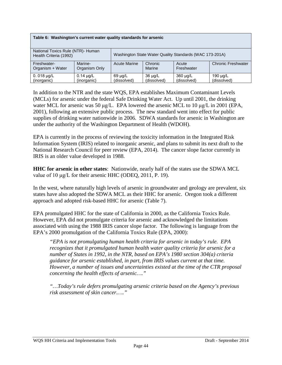| Table 6: Washington's current water quality standards for arsenic |                |                                                         |              |             |                           |
|-------------------------------------------------------------------|----------------|---------------------------------------------------------|--------------|-------------|---------------------------|
| National Toxics Rule (NTR)- Human<br>Health Criteria (1992)       |                | Washington State Water Quality Standards (WAC 173-201A) |              |             |                           |
| Freshwater-                                                       | Marine-        | <b>Acute Marine</b>                                     | Chronic      | Acute       | <b>Chronic Freshwater</b> |
| Organism + Water                                                  | Organism Only  |                                                         | Marine       | Freshwater  |                           |
| 0.018 $\mu$ g/L                                                   | $0.14 \mu g/L$ | $69 \mu g/L$                                            | $36 \mu q/L$ | 360 µg/L    | 190 µg/L                  |
| (inorganic)                                                       | (inorganic)    | (dissolved)                                             | (dissolved)  | (dissolved) | (dissolved)               |

In addition to the NTR and the state WQS, EPA establishes Maximum Contaminant Levels (MCLs) for arsenic under the federal Safe Drinking Water Act. Up until 2001, the drinking water MCL for arsenic was 50 μg/L. EPA lowered the arsenic MCL to 10 μg/L in 2001 (EPA, 2001), following an extensive public process. The new standard went into effect for public supplies of drinking water nationwide in 2006. SDWA standards for arsenic in Washington are under the authority of the Washington Department of Health (WDOH).

EPA is currently in the process of reviewing the toxicity information in the Integrated Risk Information System (IRIS) related to inorganic arsenic, and plans to submit its next draft to the National Research Council for peer review (EPA, 2014). The cancer slope factor currently in IRIS is an older value developed in 1988.

**HHC for arsenic in other states**: Nationwide, nearly half of the states use the SDWA MCL value of 10 μg/L for their arsenic HHC (ODEQ, 2011, P. 19).

In the west, where naturally high levels of arsenic in groundwater and geology are prevalent, six states have also adopted the SDWA MCL as their HHC for arsenic. Oregon took a different approach and adopted risk-based HHC for arsenic (Table 7).

EPA promulgated HHC for the state of California in 2000, as the California Toxics Rule. However, EPA did not promulgate criteria for arsenic and acknowledged the limitations associated with using the 1988 IRIS cancer slope factor. The following is language from the EPA's 2000 promulgation of the California Toxics Rule (EPA, 2000):

*"EPA is not promulgating human health criteria for arsenic in today's rule. EPA recognizes that it promulgated human health water quality criteria for arsenic for a number of States in 1992, in the NTR, based on EPA's 1980 section 304(a) criteria guidance for arsenic established, in part, from IRIS values current at that time. However, a number of issues and uncertainties existed at the time of the CTR proposal concerning the health effects of arsenic…."*

*"…Today's rule defers promulgating arsenic criteria based on the Agency's previous risk assessment of skin cancer.…."*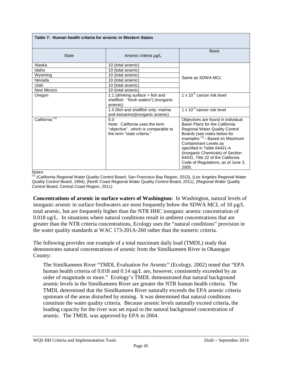| Table 7: Human health criteria for arsenic in Western States |                                                                                                            |                                                                                                                                                                                                                                                                                                                                                                          |  |  |  |
|--------------------------------------------------------------|------------------------------------------------------------------------------------------------------------|--------------------------------------------------------------------------------------------------------------------------------------------------------------------------------------------------------------------------------------------------------------------------------------------------------------------------------------------------------------------------|--|--|--|
| <b>State</b>                                                 | Arsenic criteria ug/L                                                                                      | <b>Basis</b>                                                                                                                                                                                                                                                                                                                                                             |  |  |  |
| Alaska<br>Idaho                                              | 10 (total arsenic)<br>10 (total arsenic)                                                                   |                                                                                                                                                                                                                                                                                                                                                                          |  |  |  |
| Wyoming<br>Nevada<br>Utah<br>New Mexico                      | 10 (total arsenic)<br>10 (total arsenic)<br>10 (total arsenic)<br>10 (total arsenic)                       | Same as SDWA MCL                                                                                                                                                                                                                                                                                                                                                         |  |  |  |
| Oregon                                                       | 2.1 (drinking surface + fish and<br>shellfish: "fresh waters") (inorganic<br>arsenic)                      | $1 \times 10^{-4}$ cancer risk level                                                                                                                                                                                                                                                                                                                                     |  |  |  |
|                                                              | 1.0 (fish and shellfish only: marine<br>and estuarine)(inorganic arsenic)                                  | $1 \times 10^{-5}$ cancer risk level                                                                                                                                                                                                                                                                                                                                     |  |  |  |
| California <sup>(1)</sup>                                    | 5.0<br>Note: California uses the term<br>"objective", which is comparable to<br>the term "state criteria." | Objectives are found in individual<br>Basin Plans for the California<br><b>Regional Water Quality Control</b><br>Boards (see notes below for<br>examples <sup>(1)</sup> -Based on Maximum<br>Contaminant Levels as<br>specified in Table 64431-A<br>(Inorganic Chemicals) of Section<br>64431, Title 22 of the California<br>Code of Regulations, as of June 3,<br>2005. |  |  |  |

Notes:

<sup>(1)</sup> (California Regional Water Quality Control Board, San Francisco Bay Region, 2013), (Los Angeles Regional Water Quality Control Board, 1994), (North Coast Regional Water Quality Control Board, 2011), (Regional Water Quality Control Board, Central Coast Region, 2011)

**Concentrations of arsenic in surface waters of Washington:** In Washington, natural levels of inorganic arsenic in surface freshwaters are most frequently below the SDWA MCL of 10 µg/L total arsenic, but are frequently higher than the NTR HHC inorganic arsenic concentration of 0.018 ug/L. In situations where natural conditions result in ambient concentrations that are greater than the NTR criteria concentrations, Ecology uses the "natural conditions" provision in the water quality standards at WAC 173-201A-260 rather than the numeric criteria.

The following provides one example of a total maximum daily load (TMDL) study that demonstrates natural concentrations of arsenic from the Similkameen River in Okanogan County:

The Similkameen River "TMDL Evaluation for Arsenic" (Ecology, 2002) noted that "EPA human health criteria of 0.018 and 0.14 ug/L are, however, consistently exceeded by an order of magnitude or more." Ecology's TMDL demonstrated that natural background arsenic levels in the Similkameen River are greater the NTR human health criteria. The TMDL determined that the Similkameen River naturally exceeds the EPA arsenic criteria upstream of the areas disturbed by mining. It was determined that natural conditions constitute the water quality criteria. Because arsenic levels naturally exceed criteria, the loading capacity for the river was set equal to the natural background concentration of arsenic. The TMDL was approved by EPA in 2004.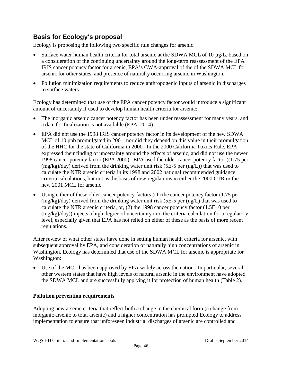### **Basis for Ecology's proposal**

Ecology is proposing the following two specific rule changes for arsenic:

- Surface water human health criteria for total arsenic at the SDWA MCL of 10  $\mu$ g/L, based on a consideration of the continuing uncertainty around the long-term reassessment of the EPA IRIS cancer potency factor for arsenic, EPA's CWA-approval of the of the SDWA MCL for arsenic for other states, and presence of naturally occurring arsenic in Washington.
- Pollution minimization requirements to reduce anthropogenic inputs of arsenic in discharges to surface waters.

Ecology has determined that use of the EPA cancer potency factor would introduce a significant amount of uncertainty if used to develop human health criteria for arsenic:

- The inorganic arsenic cancer potency factor has been under reassessment for many years, and a date for finalization is not available (EPA, 2014).
- EPA did not use the 1998 IRIS cancer potency factor in its development of the new SDWA MCL of 10 ppb promulgated in 2001, nor did they depend on this value in their promulgation of the HHC for the state of California in 2000. In the 2000 California Toxics Rule, EPA expressed their finding of uncertainty around the effects of arsenic, and did not use the newer 1998 cancer potency factor (EPA 2000). EPA used the older cancer potency factor ((1.75 per (mg/kg)/day) derived from the drinking water unit risk (5E-5 per (ug/L)) that was used to calculate the NTR arsenic criteria in its 1998 and 2002 national recommended guidance criteria calculations, but not as the basis of new regulations in either the 2000 CTR or the new 2001 MCL for arsenic.
- Using either of these older cancer potency factors  $((1)$  the cancer potency factor  $(1.75$  per (mg/kg)/day) derived from the drinking water unit risk (5E-5 per (ug/L) that was used to calculate the NTR arsenic criteria, or, (2) the 1998 cancer potency factor (1.5E+0 per (mg/kg)/day)) injects a high degree of uncertainty into the criteria calculation for a regulatory level, especially given that EPA has not relied on either of these as the basis of more recent regulations.

After review of what other states have done in setting human health criteria for arsenic, with subsequent approval by EPA, and consideration of naturally high concentrations of arsenic in Washington, Ecology has determined that use of the SDWA MCL for arsenic is appropriate for Washington:

• Use of the MCL has been approved by EPA widely across the nation. In particular, several other western states that have high levels of natural arsenic in the environment have adopted the SDWA MCL and are successfully applying it for protection of human health (Table 2).

#### **Pollution prevention requirements**

Adopting new arsenic criteria that reflect both a change in the chemical form (a change from inorganic arsenic to total arsenic) and a higher concentration has prompted Ecology to address implementation to ensure that unforeseen industrial discharges of arsenic are controlled and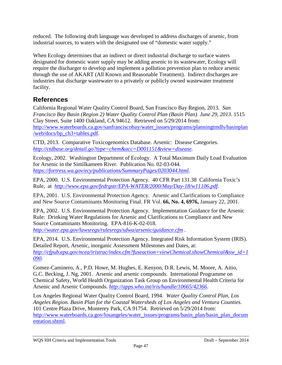reduced. The following draft language was developed to address discharges of arsenic, from industrial sources, to waters with the designated use of "domestic water supply."

When Ecology determines that an indirect or direct industrial discharge to surface waters designated for domestic water supply may be adding arsenic to its wastewater, Ecology will require the discharger to develop and implement a pollution prevention plan to reduce arsenic through the use of AKART (All Known and Reasonable Treatment). Indirect discharges are industries that discharge wastewater to a privately or publicly owned wastewater treatment facility.

### **References**

California Regional Water Quality Control Board, San Francisco Bay Region, 2013. *San Francisco Bay Basin (Region 2) Water Quality Control Plan (Basin Plan). June 29, 2013*. 1515 Clay Street, Suite 1400 Oakland, CA 94612. Retrieved on 5/29/2014 from: [http://www.waterboards.ca.gov/sanfranciscobay/water\\_issues/programs/planningtmdls/basinplan](http://www.waterboards.ca.gov/sanfranciscobay/water_issues/programs/planningtmdls/basinplan/web/docs/bp_ch3+tables.pdf) [/web/docs/bp\\_ch3+tables.pdf.](http://www.waterboards.ca.gov/sanfranciscobay/water_issues/programs/planningtmdls/basinplan/web/docs/bp_ch3+tables.pdf)

CTD, 2013. Comparative Toxicogenomics Database. Arsenic: Disease Categories. *[http://ctdbase.org/detail.go?type=chem&acc=D001151&view=disease.](http://ctdbase.org/detail.go?type=chem&acc=D001151&view=disease)*

Ecology, 2002. Washington Department of Ecology. A Total Maximum Daily Load Evaluation for Arsenic in the Similkameen River. Publication No. 02-03-044. *<https://fortress.wa.gov/ecy/publications/SummaryPages/0203044.html>*.

EPA, 2000. U.S. Environmental Protection Agency. 40 CFR Part 131.38 California Toxic's Rule, at *<http://www.epa.gov/fedrgstr/EPA-WATER/2000/May/Day-18/w11106.pdf>*.

EPA, 2001. U.S. Environmental Protection Agency. Arsenic and Clarifications to Compliance and New Source Contaminants Monitoring Final. FR Vol. **66, No. 4, 6976,** January 22, 2001.

EPA, 2002. U.S. Environmental Protection Agency. Implementation Guidance for the Arsenic Rule: Drinking Water Regulations for Arsenic and Clarifications to Compliance and New Source Contaminants Monitoring. EPA-816-K-02-018. *<http://water.epa.gov/lawsregs/rulesregs/sdwa/arsenic/guidance.cfm>* .

EPA, 2014. U.S. Environmental Protection Agency. Integrated Risk Information System (IRIS). Detailed Report, Arsenic, inorganic Assessment Milestones and Dates, at: *[http://cfpub.epa.gov/ncea/iristrac/index.cfm?fuseaction=viewChemical.showChemical&sw\\_id=1](http://cfpub.epa.gov/ncea/iristrac/index.cfm?fuseaction=viewChemical.showChemical&sw_id=1090) [090.](http://cfpub.epa.gov/ncea/iristrac/index.cfm?fuseaction=viewChemical.showChemical&sw_id=1090)*

Gomez-Caminero, A., P.D. Howe, M. Hughes, E. Kenyon, D.R. Lewis, M. Moore, A. Aitio, G.C. Becking, J. Ng, 2001. Arsenic and arsenic compounds. International Programme on Chemical Safety, World Health Organization Task Group on Environmental Health Criteria for Arsenic and Arsenic Compounds. *<http://apps.who.int/iris/handle/10665/42366>*.

Los Angeles Regional Water Quality Control Board, 1994. *Water Quality Control Plan, Los Angeles Region. Basin Plan for the Coastal Watersheds of Los Angeles and Ventura Counties.* 101 Centre Plaza Drive, Monterey Park, CA 91754. Retrieved on 5/29/2014 from: [http://www.waterboards.ca.gov/losangeles/water\\_issues/programs/basin\\_plan/basin\\_plan\\_docum](http://www.waterboards.ca.gov/losangeles/water_issues/programs/basin_plan/basin_plan_documentation.shtml) [entation.shtml.](http://www.waterboards.ca.gov/losangeles/water_issues/programs/basin_plan/basin_plan_documentation.shtml)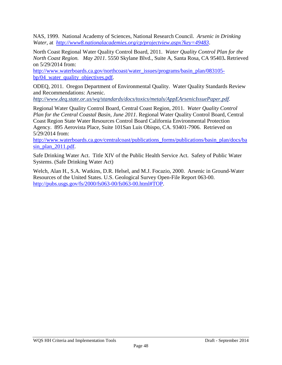NAS, 1999. National Academy of Sciences, National Research Council. *Arsenic in Drinking Water*, at *<http://www8.nationalacademies.org/cp/projectview.aspx?key=49483>*.

North Coast Regional Water Quality Control Board, 2011. *Water Quality Control Plan for the North Coast Region. May 2011*. 5550 Skylane Blvd., Suite A, Santa Rosa, CA 95403**.** Retrieved on 5/29/2014 from:

[http://www.waterboards.ca.gov/northcoast/water\\_issues/programs/basin\\_plan/083105](http://www.waterboards.ca.gov/northcoast/water_issues/programs/basin_plan/083105-bp/04_water_quality_objectives.pdf) bp/04 water quality objectives.pdf.

ODEQ, 2011. Oregon Department of Environmental Quality. Water Quality Standards Review and Recommendations: Arsenic.

*<http://www.deq.state.or.us/wq/standards/docs/toxics/metals/AppEArsenicIssuePaper.pdf>*.

Regional Water Quality Control Board, Central Coast Region, 2011. *Water Quality Control Plan for the Central Coastal Basin, June 2011*. Regional Water Quality Control Board, Central Coast Region State Water Resources Control Board California Environmental Protection Agency. 895 Aerovista Place, Suite 101San Luis Obispo, CA. 93401-7906. Retrieved on 5/29/2014 from:

[http://www.waterboards.ca.gov/centralcoast/publications\\_forms/publications/basin\\_plan/docs/ba](http://www.waterboards.ca.gov/centralcoast/publications_forms/publications/basin_plan/docs/basin_plan_2011.pdf) [sin\\_plan\\_2011.pdf.](http://www.waterboards.ca.gov/centralcoast/publications_forms/publications/basin_plan/docs/basin_plan_2011.pdf)

Safe Drinking Water Act. Title XIV of the Public Health Service Act. Safety of Public Water Systems. (Safe Drinking Water Act)

Welch, Alan H., S.A. Watkins, D.R. Helsel, and M.J. Focazio, 2000. Arsenic in Ground-Water Resources of the United States. U.S. Geological Survey Open-File Report 063-00. [http://pubs.usgs.gov/fs/2000/fs063-00/fs063-00.html#TOP.](http://pubs.usgs.gov/fs/2000/fs063-00/fs063-00.html#TOP)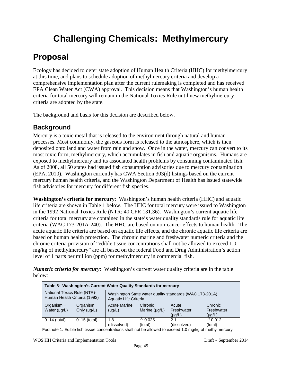# **Challenging Chemicals: Methylmercury**

# **Proposal**

Ecology has decided to defer state adoption of Human Health Criteria (HHC) for methylmercury at this time, and plans to schedule adoption of methylmercury criteria and develop a comprehensive implementation plan after the current rulemaking is completed and has received EPA Clean Water Act (CWA) approval. This decision means that Washington's human health criteria for total mercury will remain in the National Toxics Rule until new methylmercury criteria are adopted by the state.

The background and basis for this decision are described below.

### **Background**

Mercury is a toxic metal that is released to the environment through natural and human processes. Most commonly, the gaseous form is released to the atmosphere, which is then deposited onto land and water from rain and snow. Once in the water, mercury can convert to its most toxic form, methylmercury, which accumulates in fish and aquatic organisms. Humans are exposed to methylmercury and its associated health problems by consuming contaminated fish. As of 2008, all 50 states had issued fish consumption advisories due to mercury contamination (EPA, 2010). Washington currently has CWA Section 303(d) listings based on the current mercury human health criteria, and the Washington Department of Health has issued statewide fish advisories for mercury for different fish species.

**Washington's criteria for mercury**: Washington's human health criteria (HHC) and aquatic life criteria are shown in Table 1 below. The HHC for total mercury were issued to Washington in the 1992 National Toxics Rule (NTR; 40 CFR 131.36). Washington's current aquatic life criteria for total mercury are contained in the state's water quality standards rule for aquatic life criteria (WAC 173-201A-240). The HHC are based on non-cancer effects to human health. The acute aquatic life criteria are based on aquatic life effects, and the chronic aquatic life criteria are based on human health protection. The chronic marine and freshwater numeric criteria and the chronic criteria provision of "edible tissue concentrations shall not be allowed to exceed 1.0 mg/kg of methylmercury" are all based on the federal Food and Drug Administration's action level of 1 parts per million (ppm) for methylmercury in commercial fish.

*Numeric criteria for mercury:* Washington's current water quality criteria are in the table below:

| Table 8: Washington's Current Water Quality Standards for mercury                                        |                                                                                                                                                 |                     |                    |             |             |
|----------------------------------------------------------------------------------------------------------|-------------------------------------------------------------------------------------------------------------------------------------------------|---------------------|--------------------|-------------|-------------|
|                                                                                                          | National Toxics Rule (NTR)-<br>Washington State water quality standards (WAC 173-201A)<br>Human Health Criteria (1992)<br>Aquatic Life Criteria |                     |                    |             |             |
| Organism +                                                                                               | Organism                                                                                                                                        | <b>Acute Marine</b> | Chronic            | Acute       | Chronic     |
| Water $(\mu g/L)$                                                                                        | Only $(\mu g/L)$                                                                                                                                | $(\mu g/L)$         | Marine $(\mu q/L)$ | Freshwater  | Freshwater  |
|                                                                                                          |                                                                                                                                                 |                     |                    | $(\mu g/L)$ | $(\mu g/L)$ |
| $0.14$ (total)                                                                                           | $0.15$ (total)                                                                                                                                  | 1.8                 | $(1)$ 0.025        | 2.1         | $(1)$ 0.012 |
|                                                                                                          |                                                                                                                                                 | (dissolved)         | (total)            | (dissolved) | (total)     |
| Footnote 1. Edible fish tissue concentrations shall not be allowed to exceed 1.0 mg/kg of methylmercury. |                                                                                                                                                 |                     |                    |             |             |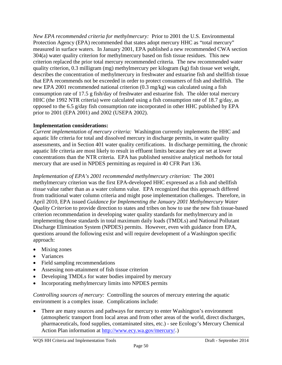*New EPA recommended criteria for methylmercury:* Prior to 2001 the U.S. Environmental Protection Agency (EPA) recommended that states adopt mercury HHC as "total mercury" measured in surface waters. In January 2001, EPA published a new recommended CWA section 304(a) water quality criterion for methylmercury based on fish tissue residues. This new criterion replaced the prior total mercury recommended criteria. The new recommended water quality criterion, 0.3 milligram (mg) methylmercury per kilogram (kg) fish tissue wet weight, describes the concentration of methylmercury in freshwater and estuarine fish and shellfish tissue that EPA recommends not be exceeded in order to protect consumers of fish and shellfish. The new EPA 2001 recommended national criterion (0.3 mg/kg) was calculated using a fish consumption rate of 17.5 g fish/day of freshwater and estuarine fish. The older total mercury HHC (the 1992 NTR criteria) were calculated using a fish consumption rate of 18.7 g/day, as opposed to the 6.5 g/day fish consumption rate incorporated in other HHC published by EPA prior to 2001 (EPA 2001) and 2002 (USEPA 2002).

#### **Implementation considerations:**

*Current implementation of mercury criteria:* Washington currently implements the HHC and aquatic life criteria for total and dissolved mercury in discharge permits, in water quality assessments, and in Section 401 water quality certifications. In discharge permitting, the chronic aquatic life criteria are most likely to result in effluent limits because they are set at lower concentrations than the NTR criteria. EPA has published sensitive analytical methods for total mercury that are used in NPDES permitting as required in 40 CFR Part 136.

*Implementation of EPA's 2001 recommended methylmercury criterion:* The 2001 methylmercury criterion was the first EPA-developed HHC expressed as a fish and shellfish *tissue* value rather than as a water column value. EPA recognized that this approach differed from traditional water column criteria and might pose implementation challenges. Therefore, in April 2010, EPA issued *Guidance for Implementing the January 2001 Methylmercury Water Quality Criterion* to provide direction to states and tribes on how to use the new fish tissue-based criterion recommendation in developing water quality standards for methylmercury and in implementing those standards in total maximum daily loads (TMDLs) and National Pollutant Discharge Elimination System (NPDES) permits. However, even with guidance from EPA, questions around the following exist and will require development of a Washington specific approach:

- Mixing zones
- Variances
- Field sampling recommendations
- Assessing non-attainment of fish tissue criterion
- Developing TMDLs for water bodies impaired by mercury
- Incorporating methylmercury limits into NPDES permits

*Controlling sources of mercury:* Controlling the sources of mercury entering the aquatic environment is a complex issue. Complications include:

• There are many sources and pathways for mercury to enter Washington's environment (atmospheric transport from local areas and from other areas of the world, direct discharges, pharmaceuticals, food supplies, contaminated sites, etc.) - see Ecology's Mercury Chemical Action Plan information at<http://www.ecy.wa.gov/mercury/>.)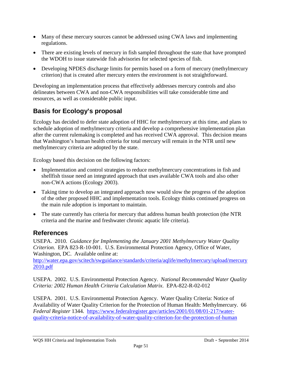- Many of these mercury sources cannot be addressed using CWA laws and implementing regulations.
- There are existing levels of mercury in fish sampled throughout the state that have prompted the WDOH to issue statewide fish advisories for selected species of fish.
- Developing NPDES discharge limits for permits based on a form of mercury (methylmercury criterion) that is created after mercury enters the environment is not straightforward.

Developing an implementation process that effectively addresses mercury controls and also delineates between CWA and non-CWA responsibilities will take considerable time and resources, as well as considerable public input.

## **Basis for Ecology's proposal**

Ecology has decided to defer state adoption of HHC for methylmercury at this time, and plans to schedule adoption of methylmercury criteria and develop a comprehensive implementation plan after the current rulemaking is completed and has received CWA approval. This decision means that Washington's human health criteria for total mercury will remain in the NTR until new methylmercury criteria are adopted by the state.

Ecology based this decision on the following factors:

- Implementation and control strategies to reduce methylmercury concentrations in fish and shellfish tissue need an integrated approach that uses available CWA tools and also other non-CWA actions (Ecology 2003).
- Taking time to develop an integrated approach now would slow the progress of the adoption of the other proposed HHC and implementation tools. Ecology thinks continued progress on the main rule adoption is important to maintain.
- The state currently has criteria for mercury that address human health protection (the NTR criteria and the marine and freshwater chronic aquatic life criteria).

#### **References**

USEPA. 2010. *Guidance for Implementing the January 2001 Methylmercury Water Quality Criterion*. EPA 823-R-10-001. U.S. Environmental Protection Agency, Office of Water, Washington, DC. Available online at:

[http://water.epa.gov/scitech/swguidance/standards/criteria/aqlife/methylmercury/upload/mercury](http://water.epa.gov/scitech/swguidance/standards/criteria/aqlife/methylmercury/upload/mercury2010.pdf) [2010.pdf](http://water.epa.gov/scitech/swguidance/standards/criteria/aqlife/methylmercury/upload/mercury2010.pdf)

USEPA. 2002. U.S. Environmental Protection Agency. *National Recommended Water Quality Criteria: 2002 Human Health Criteria Calculation Matrix*. EPA-822-R-02-012

USEPA. 2001. U.S. Environmental Protection Agency. Water Quality Criteria: Notice of Availability of Water Quality Criterion for the Protection of Human Health: Methylmercury. 66 *Federal Register* 1344. [https://www.federalregister.gov/articles/2001/01/08/01-217/water](https://www.federalregister.gov/articles/2001/01/08/01-217/water-quality-criteria-notice-of-availability-of-water-quality-criterion-for-the-protection-of-human)[quality-criteria-notice-of-availability-of-water-quality-criterion-for-the-protection-of-human](https://www.federalregister.gov/articles/2001/01/08/01-217/water-quality-criteria-notice-of-availability-of-water-quality-criterion-for-the-protection-of-human)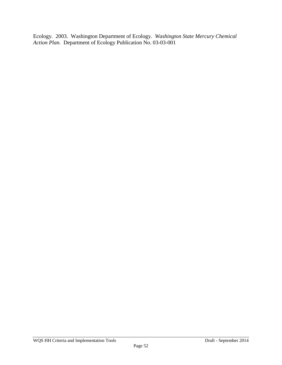Ecology. 2003. Washington Department of Ecology. *Washington State Mercury Chemical Action Plan.* Department of Ecology Publication No. 03-03-001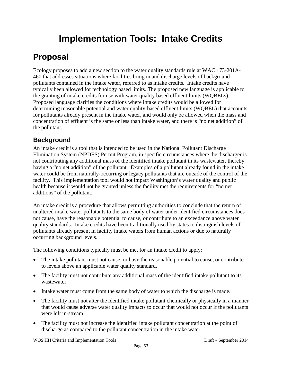# **Implementation Tools: Intake Credits**

# **Proposal**

Ecology proposes to add a new section to the water quality standards rule at WAC 173-201A-460 that addresses situations where facilities bring in and discharge levels of background pollutants contained in the intake water, referred to as intake credits. Intake credits have typically been allowed for technology based limits. The proposed new language is applicable to the granting of intake credits for use with water quality based effluent limits (WQBELs). Proposed language clarifies the conditions where intake credits would be allowed for determining reasonable potential and water quality-based effluent limits (WQBEL) that accounts for pollutants already present in the intake water, and would only be allowed when the mass and concentration of effluent is the same or less than intake water, and there is "no net addition" of the pollutant.

### **Background**

An intake credit is a tool that is intended to be used in the National Pollutant Discharge Elimination System (NPDES) Permit Program, in specific circumstances where the discharger is not contributing any additional mass of the identified intake pollutant in its wastewater, thereby having a "no net addition" of the pollutant. Examples of a pollutant already found in the intake water could be from naturally-occurring or legacy pollutants that are outside of the control of the facility. This implementation tool would not impact Washington's water quality and public health because it would not be granted unless the facility met the requirements for "no net additions" of the pollutant.

An intake credit is a procedure that allows permitting authorities to conclude that the return of unaltered intake water pollutants to the same body of water under identified circumstances does not cause, have the reasonable potential to cause, or contribute to an exceedance above water quality standards. Intake credits have been traditionally used by states to distinguish levels of pollutants already present in facility intake waters from human actions or due to naturally occurring background levels.

The following conditions typically must be met for an intake credit to apply:

- The intake pollutant must not cause, or have the reasonable potential to cause, or contribute to levels above an applicable water quality standard.
- The facility must not contribute any additional mass of the identified intake pollutant to its wastewater.
- Intake water must come from the same body of water to which the discharge is made.
- The facility must not alter the identified intake pollutant chemically or physically in a manner that would cause adverse water quality impacts to occur that would not occur if the pollutants were left in-stream.
- The facility must not increase the identified intake pollutant concentration at the point of discharge as compared to the pollutant concentration in the intake water.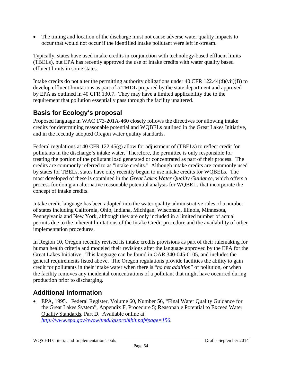• The timing and location of the discharge must not cause adverse water quality impacts to occur that would not occur if the identified intake pollutant were left in-stream.

Typically, states have used intake credits in conjunction with technology-based effluent limits (TBELs), but EPA has recently approved the use of intake credits with water quality based effluent limits in some states.

Intake credits do not alter the permitting authority obligations under 40 CFR 122.44(d)(vii)(B) to develop effluent limitations as part of a TMDL prepared by the state department and approved by EPA as outlined in 40 CFR 130.7. They may have a limited applicability due to the requirement that pollution essentially pass through the facility unaltered.

## **Basis for Ecology's proposal**

Proposed language in WAC 173-201A-460 closely follows the directives for allowing intake credits for determining reasonable potential and WQBELs outlined in the Great Lakes Initiative, and in the recently adopted Oregon water quality standards.

Federal regulations at 40 CFR 122.45(g) allow for adjustment of (TBELs) to reflect credit for pollutants in the discharge's intake water. Therefore, the permittee is only responsible for treating the portion of the pollutant load generated or concentrated as part of their process. The credits are commonly referred to as "intake credits." Although intake credits are commonly used by states for TBELs, states have only recently begun to use intake credits for WQBELs. The most developed of these is contained in the *Great Lakes Water Quality Guidance,* which offers a process for doing an alternative reasonable potential analysis for WQBELs that incorporate the concept of intake credits.

Intake credit language has been adopted into the water quality administrative rules of a number of states including California, Ohio, Indiana, Michigan, Wisconsin, Illinois, Minnesota, Pennsylvania and New York, although they are only included in a limited number of actual permits due to the inherent limitations of the Intake Credit procedure and the availability of other implementation procedures.

In Region 10, Oregon recently revised its intake credits provisions as part of their rulemaking for human health criteria and modeled their revisions after the language approved by the EPA for the Great Lakes Initiative. This language can be found in OAR 340-045-0105, and includes the general requirements listed above. The Oregon regulations provide facilities the ability to gain credit for pollutants in their intake water when there is "*no net addition*" of pollution, or when the facility removes any incidental concentrations of a pollutant that might have occurred during production prior to discharging.

## **Additional information**

• EPA, 1995. Federal Register, Volume 60, Number 56, "Final Water Quality Guidance for the Great Lakes System", Appendix F, Procedure 5; Reasonable Potential to Exceed Water Quality Standards, Part D. Available online at: *<http://www.epa.gov/owow/tmdl/glsprohibit.pdf#page=156>*.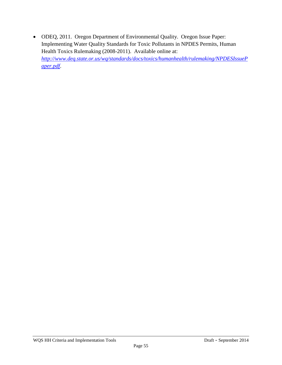• ODEQ, 2011. Oregon Department of Environmental Quality. Oregon Issue Paper: Implementing Water Quality Standards for Toxic Pollutants in NPDES Permits, Human Health Toxics Rulemaking (2008-2011). Available online at: *[http://www.deq.state.or.us/wq/standards/docs/toxics/humanhealth/rulemaking/NPDESIssueP](http://www.deq.state.or.us/wq/standards/docs/toxics/humanhealth/rulemaking/NPDESIssuePaper.pdf) [aper.pdf](http://www.deq.state.or.us/wq/standards/docs/toxics/humanhealth/rulemaking/NPDESIssuePaper.pdf)*.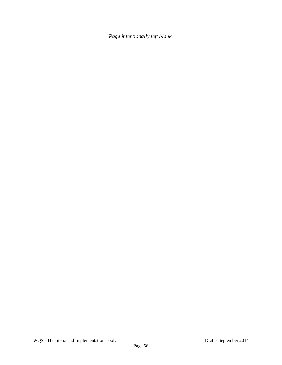*Page intentionally left blank.*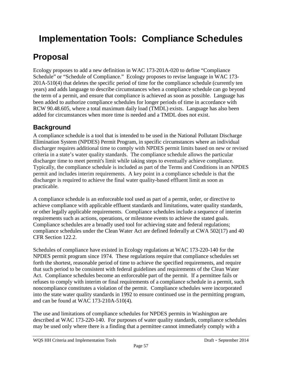# **Implementation Tools: Compliance Schedules**

# **Proposal**

Ecology proposes to add a new definition in WAC 173-201A-020 to define "Compliance Schedule" or "Schedule of Compliance." Ecology proposes to revise language in WAC 173- 201A-510(4) that deletes the specific period of time for the compliance schedule (currently ten years) and adds language to describe circumstances when a compliance schedule can go beyond the term of a permit, and ensure that compliance is achieved as soon as possible. Language has been added to authorize compliance schedules for longer periods of time in accordance with RCW 90.48.605, where a total maximum daily load (TMDL) exists. Language has also been added for circumstances when more time is needed and a TMDL does not exist.

## **Background**

A compliance schedule is a tool that is intended to be used in the National Pollutant Discharge Elimination System (NPDES) Permit Program, in specific circumstances where an individual discharger requires additional time to comply with NPDES permit limits based on new or revised criteria in a state's water quality standards. The compliance schedule allows the particular discharger time to meet permit's limit while taking steps to eventually achieve compliance. Typically, the compliance schedule is included as part of the Terms and Conditions in an NPDES permit and includes interim requirements. A key point in a compliance schedule is that the discharger is required to achieve the final water quality-based effluent limit as soon as practicable.

A compliance schedule is an enforceable tool used as part of a permit, order, or directive to achieve compliance with applicable effluent standards and limitations, water quality standards, or other legally applicable requirements. Compliance schedules include a sequence of interim requirements such as actions, operations, or milestone events to achieve the stated goals. Compliance schedules are a broadly used tool for achieving state and federal regulations; compliance schedules under the Clean Water Act are defined federally at CWA 502(17) and 40 CFR Section 122.2.

Schedules of compliance have existed in Ecology regulations at WAC 173-220-140 for the NPDES permit program since 1974. These regulations require that compliance schedules set forth the shortest, reasonable period of time to achieve the specified requirements, and require that such period to be consistent with federal guidelines and requirements of the Clean Water Act. Compliance schedules become an enforceable part of the permit. If a permittee fails or refuses to comply with interim or final requirements of a compliance schedule in a permit, such noncompliance constitutes a violation of the permit. Compliance schedules were incorporated into the state water quality standards in 1992 to ensure continued use in the permitting program, and can be found at WAC 173-210A-510(4).

The use and limitations of compliance schedules for NPDES permits in Washington are described at WAC 173-220-140. For purposes of water quality standards, compliance schedules may be used only where there is a finding that a permittee cannot immediately comply with a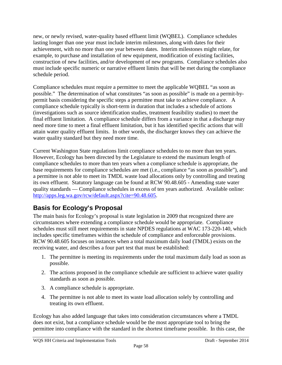new, or newly revised, water-quality based effluent limit (WQBEL). Compliance schedules lasting longer than one year must include interim milestones, along with dates for their achievement, with no more than one year between dates. Interim milestones might relate, for example, to purchase and installation of new equipment, modification of existing facilities, construction of new facilities, and/or development of new programs. Compliance schedules also must include specific numeric or narrative effluent limits that will be met during the compliance schedule period.

Compliance schedules must require a permittee to meet the applicable WQBEL "as soon as possible." The determination of what constitutes "as soon as possible" is made on a permit-bypermit basis considering the specific steps a permittee must take to achieve compliance. A compliance schedule typically is short-term in duration that includes a schedule of actions (investigations such as source identification studies, treatment feasibility studies) to meet the final effluent limitation. A compliance schedule differs from a variance in that a discharge may need more time to meet a final effluent limitation, but it has identified specific actions that will attain water quality effluent limits. In other words, the discharger knows they can achieve the water quality standard but they need more time.

Current Washington State regulations limit compliance schedules to no more than ten years. However, Ecology has been directed by the Legislature to extend the maximum length of compliance schedules to more than ten years when a compliance schedule is appropriate, the base requirements for compliance schedules are met (i.e., compliance "as soon as possible"), and a permittee is not able to meet its TMDL waste load allocations only by controlling and treating its own effluent. Statutory language can be found at RCW 90.48.605 - Amending state water quality standards — Compliance schedules in excess of ten years authorized. Available online: [http://apps.leg.wa.gov/rcw/default.aspx?cite=90.48.605.](http://apps.leg.wa.gov/rcw/default.aspx?cite=90.48.605)

### **Basis for Ecology's Proposal**

The main basis for Ecology's proposal is state legislation in 2009 that recognized there are circumstances where extending a compliance schedule would be appropriate. Compliance schedules must still meet requirements in state NPDES regulations at WAC 173-220-140, which includes specific timeframes within the schedule of compliance and enforceable provisions. RCW 90.48.605 focuses on instances when a total maximum daily load (TMDL) exists on the receiving water, and describes a four part test that must be established:

- 1. The permittee is meeting its requirements under the total maximum daily load as soon as possible.
- 2. The actions proposed in the compliance schedule are sufficient to achieve water quality standards as soon as possible.
- 3. A compliance schedule is appropriate.
- 4. The permittee is not able to meet its waste load allocation solely by controlling and treating its own effluent.

Ecology has also added language that takes into consideration circumstances where a TMDL does not exist, but a compliance schedule would be the most appropriate tool to bring the permittee into compliance with the standard in the shortest timeframe possible. In this case, the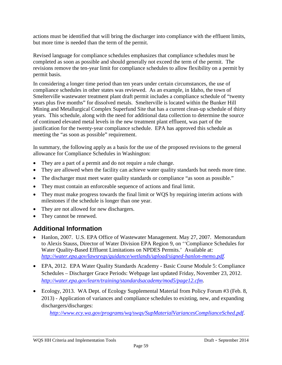actions must be identified that will bring the discharger into compliance with the effluent limits, but more time is needed than the term of the permit.

Revised language for compliance schedules emphasizes that compliance schedules must be completed as soon as possible and should generally not exceed the term of the permit. The revisions remove the ten-year limit for compliance schedules to allow flexibility on a permit by permit basis.

In considering a longer time period than ten years under certain circumstances, the use of compliance schedules in other states was reviewed. As an example, in Idaho, the town of Smelterville wastewater treatment plant draft permit includes a compliance schedule of "twenty years plus five months" for dissolved metals. Smelterville is located within the Bunker Hill Mining and Metallurgical Complex Superfund Site that has a current clean-up schedule of thirty years. This schedule, along with the need for additional data collection to determine the source of continued elevated metal levels in the new treatment plant effluent, was part of the justification for the twenty-year compliance schedule. EPA has approved this schedule as meeting the "as soon as possible" requirement.

In summary, the following apply as a basis for the use of the proposed revisions to the general allowance for Compliance Schedules in Washington:

- They are a part of a permit and do not require a rule change.
- They are allowed when the facility can achieve water quality standards but needs more time.
- The discharger must meet water quality standards or compliance "as soon as possible."
- They must contain an enforceable sequence of actions and final limit.
- They must make progress towards the final limit or WQS by requiring interim actions with milestones if the schedule is longer than one year.
- They are not allowed for new dischargers.
- They cannot be renewed.

## **Additional Information**

- Hanlon, 2007. U.S. EPA Office of Wastewater Management. May 27, 2007. Memorandum to Alexis Stauss, Director of Water Division EPA Region 9, on ''Compliance Schedules for Water Quality-Based Effluent Limitations on NPDES Permits.' Available at: *<http://water.epa.gov/lawsregs/guidance/wetlands/upload/signed-hanlon-memo.pdf>*.
- EPA, 2012. EPA Water Quality Standards Academy Basic Course Module 5: Compliance Schedules – Discharger Grace Periods: Webpage last updated Friday, November 23, 2012. *<http://water.epa.gov/learn/training/standardsacademy/mod5/page12.cfm>*.
- Ecology, 2013. WA Dept. of Ecology Supplemental Material from Policy Forum #3 (Feb. 8, 2013) - Application of variances and compliance schedules to existing, new, and expanding dischargers/discharges:

*<http://www.ecy.wa.gov/programs/wq/swqs/SupMaterialVariancesComplianceSched.pdf>*.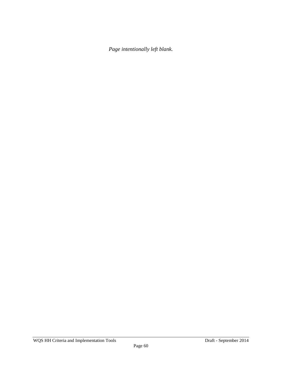*Page intentionally left blank.*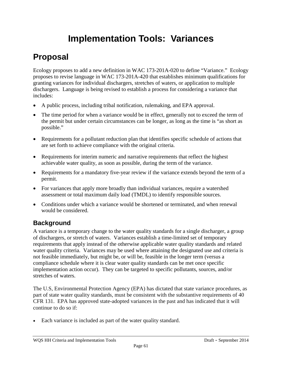# **Implementation Tools: Variances**

# **Proposal**

Ecology proposes to add a new definition in WAC 173-201A-020 to define "Variance." Ecology proposes to revise language in WAC 173-201A-420 that establishes minimum qualifications for granting variances for individual dischargers, stretches of waters, or application to multiple dischargers. Language is being revised to establish a process for considering a variance that includes:

- A public process, including tribal notification, rulemaking, and EPA approval.
- The time period for when a variance would be in effect, generally not to exceed the term of the permit but under certain circumstances can be longer, as long as the time is "as short as possible."
- Requirements for a pollutant reduction plan that identifies specific schedule of actions that are set forth to achieve compliance with the original criteria.
- Requirements for interim numeric and narrative requirements that reflect the highest achievable water quality, as soon as possible, during the term of the variance.
- Requirements for a mandatory five-year review if the variance extends beyond the term of a permit.
- For variances that apply more broadly than individual variances, require a watershed assessment or total maximum daily load (TMDL) to identify responsible sources.
- Conditions under which a variance would be shortened or terminated, and when renewal would be considered.

### **Background**

A variance is a temporary change to the water quality standards for a single discharger, a group of dischargers, or stretch of waters. Variances establish a time-limited set of temporary requirements that apply instead of the otherwise applicable water quality standards and related water quality criteria. Variances may be used where attaining the designated use and criteria is not feasible immediately, but might be, or will be, feasible in the longer term (versus a compliance schedule where it is clear water quality standards can be met once specific implementation action occur). They can be targeted to specific pollutants, sources, and/or stretches of waters.

The U.S, Environmental Protection Agency (EPA) has dictated that state variance procedures, as part of state water quality standards, must be consistent with the substantive requirements of 40 CFR 131. EPA has approved state-adopted variances in the past and has indicated that it will continue to do so if:

Each variance is included as part of the water quality standard.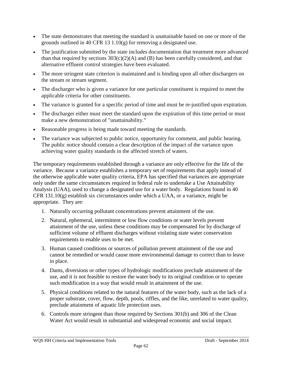- The state demonstrates that meeting the standard is unattainable based on one or more of the grounds outlined in 40 CFR 13 1.10(g) for removing a designated use.
- The justification submitted by the state includes documentation that treatment more advanced than that required by sections  $303(c)(2)(A)$  and (B) has been carefully considered, and that alternative effluent control strategies have been evaluated.
- The more stringent state criterion is maintained and is binding upon all other dischargers on the stream or stream segment.
- The discharger who is given a variance for one particular constituent is required to meet the applicable criteria for other constituents.
- The variance is granted for a specific period of time and must be re-justified upon expiration.
- The discharger either must meet the standard upon the expiration of this time period or must make a new demonstration of "unattainability."
- Reasonable progress is being made toward meeting the standards.
- The variance was subjected to public notice, opportunity for comment, and public hearing. The public notice should contain a clear description of the impact of the variance upon achieving water quality standards in the affected stretch of waters.

The temporary requirements established through a variance are only effective for the life of the variance. Because a variance establishes a temporary set of requirements that apply instead of the otherwise applicable water quality criteria, EPA has specified that variances are appropriate only under the same circumstances required in federal rule to undertake a Use Attainability Analysis (UAA), used to change a designated use for a water body. Regulations found in 40 CFR  $131.10(g)$  establish six circumstances under which a UAA, or a variance, might be appropriate. They are:

- 1. Naturally occurring pollutant concentrations prevent attainment of the use.
- 2. Natural, ephemeral, intermittent or low flow conditions or water levels prevent attainment of the use, unless these conditions may be compensated for by discharge of sufficient volume of effluent discharges without violating state water conservation requirements to enable uses to be met.
- 3. Human caused conditions or sources of pollution prevent attainment of the use and cannot be remedied or would cause more environmental damage to correct than to leave in place.
- 4. Dams, diversions or other types of hydrologic modifications preclude attainment of the use, and it is not feasible to restore the water body to its original condition or to operate such modification in a way that would result in attainment of the use.
- 5. Physical conditions related to the natural features of the water body, such as the lack of a proper substrate, cover, flow, depth, pools, riffles, and the like, unrelated to water quality, preclude attainment of aquatic life protection uses.
- 6. Controls more stringent than those required by Sections 301(b) and 306 of the Clean Water Act would result in substantial and widespread economic and social impact.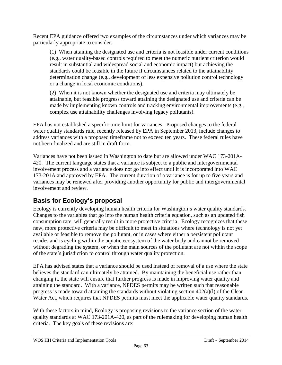Recent EPA guidance offered two examples of the circumstances under which variances may be particularly appropriate to consider:

(1) When attaining the designated use and criteria is not feasible under current conditions (e.g., water quality-based controls required to meet the numeric nutrient criterion would result in substantial and widespread social and economic impact) but achieving the standards could be feasible in the future if circumstances related to the attainability determination change (e.g., development of less expensive pollution control technology or a change in local economic conditions).

(2) When it is not known whether the designated use and criteria may ultimately be attainable, but feasible progress toward attaining the designated use and criteria can be made by implementing known controls and tracking environmental improvements (e.g., complex use attainability challenges involving legacy pollutants).

EPA has not established a specific time limit for variances. Proposed changes to the federal water quality standards rule, recently released by EPA in September 2013, include changes to address variances with a proposed timeframe not to exceed ten years. These federal rules have not been finalized and are still in draft form.

Variances have not been issued in Washington to date but are allowed under WAC 173-201A-420. The current language states that a variance is subject to a public and intergovernmental involvement process and a variance does not go into effect until it is incorporated into WAC 173-201A and approved by EPA. The current duration of a variance is for up to five years and variances may be renewed after providing another opportunity for public and intergovernmental involvement and review.

## **Basis for Ecology's proposal**

Ecology is currently developing human health criteria for Washington's water quality standards. Changes to the variables that go into the human health criteria equation, such as an updated fish consumption rate, will generally result in more protective criteria. Ecology recognizes that these new, more protective criteria may be difficult to meet in situations where technology is not yet available or feasible to remove the pollutant, or in cases where either a persistent pollutant resides and is cycling within the aquatic ecosystem of the water body and cannot be removed without degrading the system, or when the main sources of the pollutant are not within the scope of the state's jurisdiction to control through water quality protection.

EPA has advised states that a variance should be used instead of removal of a use where the state believes the standard can ultimately be attained. By maintaining the beneficial use rather than changing it, the state will ensure that further progress is made in improving water quality and attaining the standard. With a variance, NPDES permits may be written such that reasonable progress is made toward attaining the standards without violating section  $402(a)(1)$  of the Clean Water Act, which requires that NPDES permits must meet the applicable water quality standards.

With these factors in mind, Ecology is proposing revisions to the variance section of the water quality standards at WAC 173-201A-420, as part of the rulemaking for developing human health criteria. The key goals of these revisions are: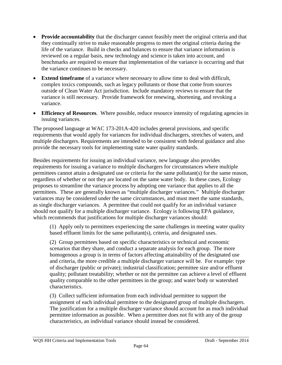- **Provide accountability** that the discharger cannot feasibly meet the original criteria and that they continually strive to make reasonable progress to meet the original criteria during the life of the variance. Build in checks and balances to ensure that variance information is reviewed on a regular basis, new technology and science is taken into account, and benchmarks are required to ensure that implementation of the variance is occurring and that the variance continues to be necessary.
- **Extend timeframe** of a variance where necessary to allow time to deal with difficult, complex toxics compounds, such as legacy pollutants or those that come from sources outside of Clean Water Act jurisdiction. Include mandatory reviews to ensure that the variance is still necessary. Provide framework for renewing, shortening, and revoking a variance.
- **Efficiency of Resources.** Where possible, reduce resource intensity of regulating agencies in issuing variances.

The proposed language at WAC 173-201A-420 includes general provisions, and specific requirements that would apply for variances for individual dischargers, stretches of waters, and multiple dischargers. Requirements are intended to be consistent with federal guidance and also provide the necessary tools for implementing state water quality standards.

Besides requirements for issuing an individual variance, new language also provides requirements for issuing a variance to multiple dischargers for circumstances where multiple permittees cannot attain a designated use or criteria for the same pollutant(s) for the same reason, regardless of whether or not they are located on the same water body. In these cases, Ecology proposes to streamline the variance process by adopting one variance that applies to all the permittees. These are generally known as "multiple discharger variances." Multiple discharger variances may be considered under the same circumstances, and must meet the same standards, as single discharger variances. A permittee that could not qualify for an individual variance should not qualify for a multiple discharger variance. Ecology is following EPA guidance, which recommends that justifications for multiple discharger variances should:

(1) Apply only to permittees experiencing the same challenges in meeting water quality based effluent limits for the same pollutant(s), criteria, and designated uses.

(2) Group permittees based on specific characteristics or technical and economic scenarios that they share, and conduct a separate analysis for each group. The more homogenous a group is in terms of factors affecting attainability of the designated use and criteria, the more credible a multiple discharger variance will be. For example: type of discharger (public or private); industrial classification; permittee size and/or effluent quality; pollutant treatability; whether or not the permittee can achieve a level of effluent quality comparable to the other permittees in the group; and water body or watershed characteristics.

(3) Collect sufficient information from each individual permittee to support the assignment of each individual permittee to the designated group of multiple dischargers. The justification for a multiple discharger variance should account for as much individual permittee information as possible. When a permittee does not fit with any of the group characteristics, an individual variance should instead be considered.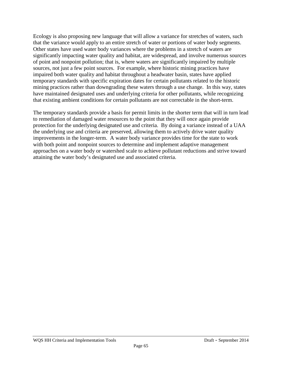Ecology is also proposing new language that will allow a variance for stretches of waters, such that the variance would apply to an entire stretch of water or portions of water body segments. Other states have used water body variances where the problems in a stretch of waters are significantly impacting water quality and habitat, are widespread, and involve numerous sources of point and nonpoint pollution; that is, where waters are significantly impaired by multiple sources, not just a few point sources. For example, where historic mining practices have impaired both water quality and habitat throughout a headwater basin, states have applied temporary standards with specific expiration dates for certain pollutants related to the historic mining practices rather than downgrading these waters through a use change. In this way, states have maintained designated uses and underlying criteria for other pollutants, while recognizing that existing ambient conditions for certain pollutants are not correctable in the short-term.

The temporary standards provide a basis for permit limits in the shorter term that will in turn lead to remediation of damaged water resources to the point that they will once again provide protection for the underlying designated use and criteria. By doing a variance instead of a UAA the underlying use and criteria are preserved, allowing them to actively drive water quality improvements in the longer-term. A water body variance provides time for the state to work with both point and nonpoint sources to determine and implement adaptive management approaches on a water body or watershed scale to achieve pollutant reductions and strive toward attaining the water body's designated use and associated criteria.